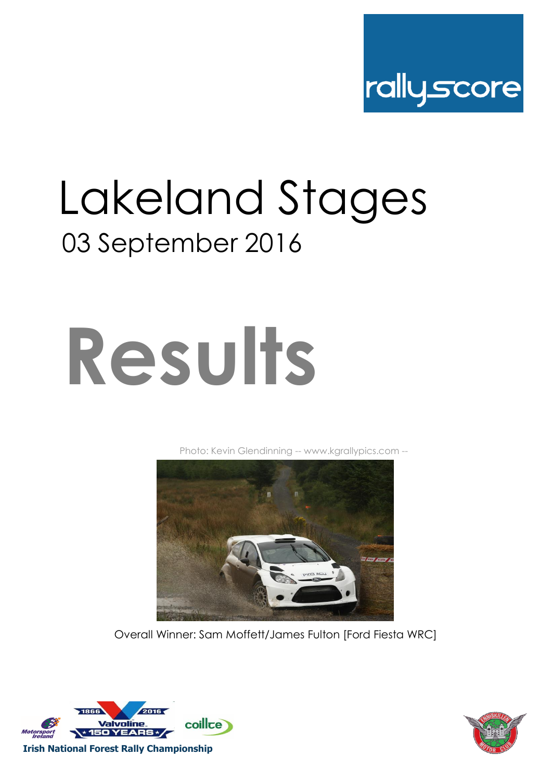

## Lakeland Stages 03 September 2016

# **Results**

[Photo](http://www.kgrallypics.com/): Kevin Glendinning -- www.kgrallypics.com --



Overall Winner: Sam Moffett/James Fulton [Ford Fiesta WRC]



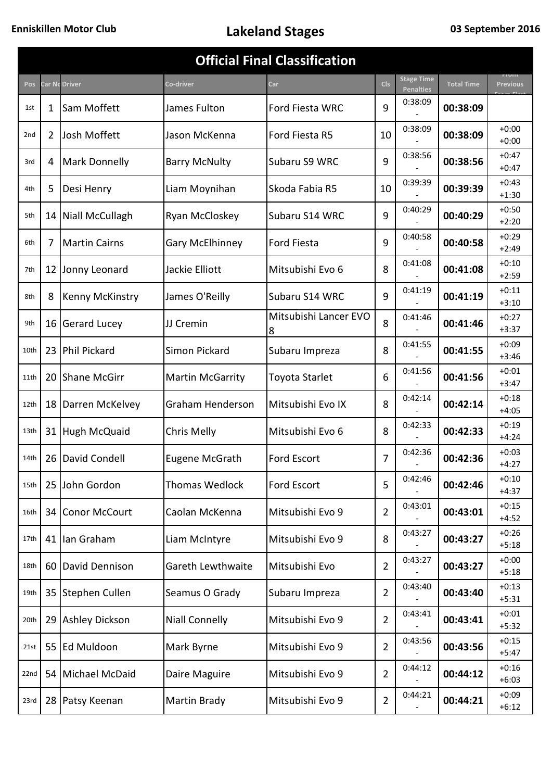| <b>Official Final Classification</b><br><b>Stage Time</b><br><b>Car Nc Driver</b><br>Co-driver<br><b>Cls</b><br><b>Total Time</b><br>Pos<br>Car |                |                        |                         |                            |                |           |          |                    |  |  |  |  |
|-------------------------------------------------------------------------------------------------------------------------------------------------|----------------|------------------------|-------------------------|----------------------------|----------------|-----------|----------|--------------------|--|--|--|--|
|                                                                                                                                                 |                |                        |                         |                            |                | Penalties |          | Previous           |  |  |  |  |
| 1st                                                                                                                                             | 1              | Sam Moffett            | James Fulton            | Ford Fiesta WRC            | 9              | 0:38:09   | 00:38:09 |                    |  |  |  |  |
| 2nd                                                                                                                                             | $\overline{2}$ | Josh Moffett           | Jason McKenna           | Ford Fiesta R5             | 10             | 0:38:09   | 00:38:09 | $+0:00$<br>$+0:00$ |  |  |  |  |
| 3rd                                                                                                                                             | 4              | <b>Mark Donnelly</b>   | <b>Barry McNulty</b>    | Subaru S9 WRC              | 9              | 0:38:56   | 00:38:56 | $+0:47$<br>$+0:47$ |  |  |  |  |
| 4th                                                                                                                                             | 5              | Desi Henry             | Liam Moynihan           | Skoda Fabia R5             | 10             | 0:39:39   | 00:39:39 | $+0:43$<br>$+1:30$ |  |  |  |  |
| 5th                                                                                                                                             |                | 14 Niall McCullagh     | Ryan McCloskey          | Subaru S14 WRC             | 9              | 0:40:29   | 00:40:29 | $+0:50$<br>$+2:20$ |  |  |  |  |
| 6th                                                                                                                                             | 7              | <b>Martin Cairns</b>   | <b>Gary McElhinney</b>  | <b>Ford Fiesta</b>         | 9              | 0:40:58   | 00:40:58 | $+0:29$<br>$+2:49$ |  |  |  |  |
| 7th                                                                                                                                             |                | 12 Jonny Leonard       | Jackie Elliott          | Mitsubishi Evo 6           | 8              | 0:41:08   | 00:41:08 | $+0:10$<br>$+2:59$ |  |  |  |  |
| 8th                                                                                                                                             | 8              | <b>Kenny McKinstry</b> | James O'Reilly          | Subaru S14 WRC             | 9              | 0:41:19   | 00:41:19 | $+0:11$<br>$+3:10$ |  |  |  |  |
| 9th                                                                                                                                             |                | 16 Gerard Lucey        | JJ Cremin               | Mitsubishi Lancer EVO<br>8 | 8              | 0:41:46   | 00:41:46 | $+0:27$<br>$+3:37$ |  |  |  |  |
| 10th                                                                                                                                            |                | 23 Phil Pickard        | Simon Pickard           | Subaru Impreza             | 8              | 0:41:55   | 00:41:55 | $+0:09$<br>$+3:46$ |  |  |  |  |
| 11th                                                                                                                                            |                | 20 Shane McGirr        | <b>Martin McGarrity</b> | Toyota Starlet             | 6              | 0:41:56   | 00:41:56 | $+0:01$<br>$+3:47$ |  |  |  |  |
| 12th                                                                                                                                            |                | 18   Darren McKelvey   | Graham Henderson        | Mitsubishi Evo IX          | 8              | 0:42:14   | 00:42:14 | $+0:18$<br>$+4:05$ |  |  |  |  |
| 13th                                                                                                                                            |                | 31 Hugh McQuaid        | Chris Melly             | Mitsubishi Evo 6           | 8              | 0:42:33   | 00:42:33 | $+0:19$<br>$+4:24$ |  |  |  |  |
| 14th                                                                                                                                            |                | 26 David Condell       | <b>Eugene McGrath</b>   | Ford Escort                | 7              | 0:42:36   | 00:42:36 | $+0:03$<br>$+4:27$ |  |  |  |  |
| 15th                                                                                                                                            |                | 25 John Gordon         | <b>Thomas Wedlock</b>   | Ford Escort                | 5              | 0:42:46   | 00:42:46 | $+0:10$<br>$+4:37$ |  |  |  |  |
| 16th                                                                                                                                            |                | 34 Conor McCourt       | Caolan McKenna          | Mitsubishi Evo 9           | $\overline{2}$ | 0:43:01   | 00:43:01 | $+0:15$<br>$+4:52$ |  |  |  |  |
| 17th                                                                                                                                            |                | 41 Ian Graham          | Liam McIntyre           | Mitsubishi Evo 9           | 8              | 0:43:27   | 00:43:27 | $+0:26$<br>$+5:18$ |  |  |  |  |
| 18th                                                                                                                                            |                | 60 David Dennison      | Gareth Lewthwaite       | Mitsubishi Evo             | $\overline{2}$ | 0:43:27   | 00:43:27 | $+0:00$<br>$+5:18$ |  |  |  |  |
| 19th                                                                                                                                            |                | 35 Stephen Cullen      | Seamus O Grady          | Subaru Impreza             | $\overline{2}$ | 0:43:40   | 00:43:40 | $+0:13$<br>$+5:31$ |  |  |  |  |
| 20th                                                                                                                                            |                | 29 Ashley Dickson      | <b>Niall Connelly</b>   | Mitsubishi Evo 9           | $\overline{2}$ | 0:43:41   | 00:43:41 | $+0:01$<br>$+5:32$ |  |  |  |  |
| 21st                                                                                                                                            |                | 55 Ed Muldoon          | Mark Byrne              | Mitsubishi Evo 9           | $\overline{2}$ | 0:43:56   | 00:43:56 | $+0:15$<br>$+5:47$ |  |  |  |  |
| 22nd                                                                                                                                            |                | 54 Michael McDaid      | Daire Maguire           | Mitsubishi Evo 9           | $\overline{2}$ | 0:44:12   | 00:44:12 | $+0:16$<br>$+6:03$ |  |  |  |  |
| 23rd                                                                                                                                            |                | 28 Patsy Keenan        | Martin Brady            | Mitsubishi Evo 9           | $\overline{2}$ | 0:44:21   | 00:44:21 | $+0:09$<br>$+6:12$ |  |  |  |  |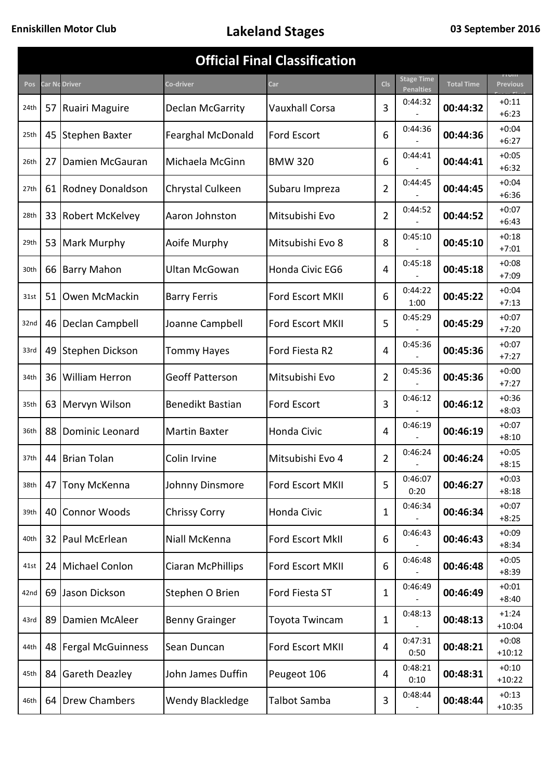| <b>Official Final Classification</b><br><b>Stage Time</b><br>Co-driver<br><b>Cls</b><br><b>Car Nc Driver</b> |    |                          |                          |                       |                |                  |                   |                     |  |  |  |  |
|--------------------------------------------------------------------------------------------------------------|----|--------------------------|--------------------------|-----------------------|----------------|------------------|-------------------|---------------------|--|--|--|--|
| <b>Pos</b>                                                                                                   |    |                          |                          | Car                   |                | <b>Penalties</b> | <b>Total Time</b> | <b>Previous</b>     |  |  |  |  |
| 24th                                                                                                         | 57 | Ruairi Maguire           | Declan McGarrity         | <b>Vauxhall Corsa</b> | 3              | 0:44:32          | 00:44:32          | $+0:11$<br>$+6:23$  |  |  |  |  |
| 25th                                                                                                         | 45 | Stephen Baxter           | <b>Fearghal McDonald</b> | Ford Escort           | 6              | 0:44:36          | 00:44:36          | $+0:04$<br>$+6:27$  |  |  |  |  |
| 26th                                                                                                         | 27 | Damien McGauran          | Michaela McGinn          | <b>BMW 320</b>        | 6              | 0:44:41          | 00:44:41          | $+0:05$<br>$+6:32$  |  |  |  |  |
| 27th                                                                                                         |    | 61   Rodney Donaldson    | Chrystal Culkeen         | Subaru Impreza        | $\overline{2}$ | 0:44:45          | 00:44:45          | $+0:04$<br>$+6:36$  |  |  |  |  |
| 28th                                                                                                         | 33 | <b>Robert McKelvey</b>   | Aaron Johnston           | Mitsubishi Evo        | $\overline{2}$ | 0:44:52          | 00:44:52          | $+0:07$<br>$+6:43$  |  |  |  |  |
| 29th                                                                                                         | 53 | Mark Murphy              | Aoife Murphy             | Mitsubishi Evo 8      | 8              | 0:45:10          | 00:45:10          | $+0:18$<br>$+7:01$  |  |  |  |  |
| 30th                                                                                                         | 66 | <b>Barry Mahon</b>       | <b>Ultan McGowan</b>     | Honda Civic EG6       | 4              | 0:45:18          | 00:45:18          | $+0:08$<br>$+7:09$  |  |  |  |  |
| 31st                                                                                                         | 51 | Owen McMackin            | <b>Barry Ferris</b>      | Ford Escort MKII      | 6              | 0:44:22<br>1:00  | 00:45:22          | $+0:04$<br>$+7:13$  |  |  |  |  |
| 32nd                                                                                                         |    | 46   Declan Campbell     | Joanne Campbell          | Ford Escort MKII      | 5              | 0:45:29          | 00:45:29          | $+0:07$<br>$+7:20$  |  |  |  |  |
| 33rd                                                                                                         | 49 | Stephen Dickson          | <b>Tommy Hayes</b>       | Ford Fiesta R2        | 4              | 0:45:36          | 00:45:36          | $+0:07$<br>$+7:27$  |  |  |  |  |
| 34th                                                                                                         | 36 | <b>William Herron</b>    | <b>Geoff Patterson</b>   | Mitsubishi Evo        | $\overline{2}$ | 0:45:36          | 00:45:36          | $+0:00$<br>$+7:27$  |  |  |  |  |
| 35th                                                                                                         | 63 | Mervyn Wilson            | Benedikt Bastian         | Ford Escort           | 3              | 0:46:12          | 00:46:12          | $+0:36$<br>$+8:03$  |  |  |  |  |
| 36th                                                                                                         | 88 | Dominic Leonard          | <b>Martin Baxter</b>     | Honda Civic           | 4              | 0:46:19          | 00:46:19          | $+0:07$<br>$+8:10$  |  |  |  |  |
| 37th                                                                                                         | 44 | Brian Tolan              | Colin Irvine             | Mitsubishi Evo 4      | $\overline{2}$ | 0:46:24          | 00:46:24          | $+0:05$<br>$+8:15$  |  |  |  |  |
| 38th                                                                                                         | 47 | Tony McKenna             | Johnny Dinsmore          | Ford Escort MKII      | 5              | 0:46:07<br>0:20  | 00:46:27          | $+0:03$<br>$+8:18$  |  |  |  |  |
| 39th                                                                                                         | 40 | Connor Woods             | <b>Chrissy Corry</b>     | Honda Civic           | $\mathbf 1$    | 0:46:34          | 00:46:34          | $+0:07$<br>$+8:25$  |  |  |  |  |
| 40th                                                                                                         |    | 32 Paul McErlean         | Niall McKenna            | Ford Escort MkII      | 6              | 0:46:43          | 00:46:43          | $+0:09$<br>$+8:34$  |  |  |  |  |
| 41st                                                                                                         |    | 24 Michael Conlon        | Ciaran McPhillips        | Ford Escort MKII      | 6              | 0:46:48          | 00:46:48          | $+0:05$<br>$+8:39$  |  |  |  |  |
| 42nd                                                                                                         | 69 | Jason Dickson            | Stephen O Brien          | Ford Fiesta ST        | 1              | 0:46:49          | 00:46:49          | $+0:01$<br>$+8:40$  |  |  |  |  |
| 43rd                                                                                                         | 89 | Damien McAleer           | <b>Benny Grainger</b>    | Toyota Twincam        | $\mathbf 1$    | 0:48:13          | 00:48:13          | $+1:24$<br>$+10:04$ |  |  |  |  |
| 44th                                                                                                         | 48 | <b>Fergal McGuinness</b> | Sean Duncan              | Ford Escort MKII      | 4              | 0:47:31<br>0:50  | 00:48:21          | $+0:08$<br>$+10:12$ |  |  |  |  |
| 45th                                                                                                         | 84 | <b>Gareth Deazley</b>    | John James Duffin        | Peugeot 106           | 4              | 0:48:21<br>0:10  | 00:48:31          | $+0:10$<br>$+10:22$ |  |  |  |  |
| 46th                                                                                                         | 64 | Drew Chambers            | Wendy Blackledge         | Talbot Samba          | 3              | 0:48:44          | 00:48:44          | $+0:13$<br>$+10:35$ |  |  |  |  |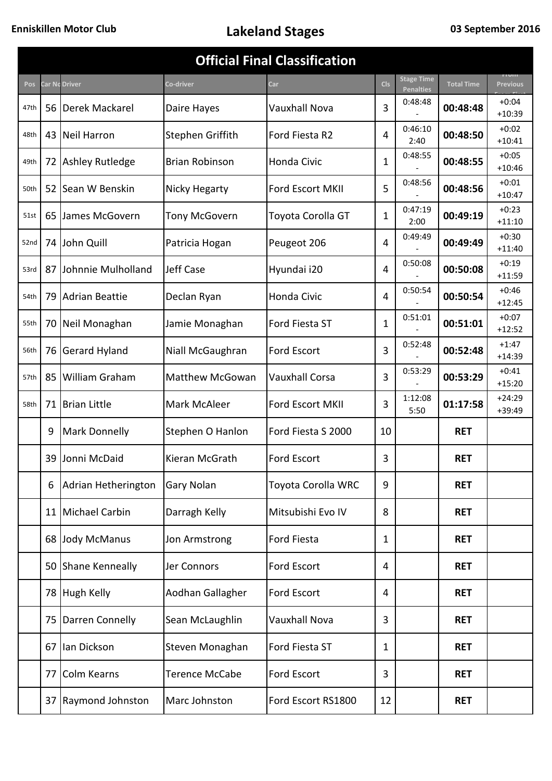| <b>Official Final Classification</b><br><b>Stage Time</b><br><b>Car Nc Driver</b><br>Co-driver<br><b>Cls</b><br><b>Total Time</b><br>Pos<br>Car<br><b>Penalties</b> |    |                      |                        |                       |    |                 |            |                      |  |  |  |  |  |
|---------------------------------------------------------------------------------------------------------------------------------------------------------------------|----|----------------------|------------------------|-----------------------|----|-----------------|------------|----------------------|--|--|--|--|--|
|                                                                                                                                                                     |    |                      |                        |                       |    |                 |            | <b>Previous</b>      |  |  |  |  |  |
| 47th                                                                                                                                                                | 56 | Derek Mackarel       | Daire Hayes            | Vauxhall Nova         | 3  | 0:48:48         | 00:48:48   | $+0:04$<br>$+10:39$  |  |  |  |  |  |
| 48th                                                                                                                                                                |    | 43 Neil Harron       | Stephen Griffith       | Ford Fiesta R2        | 4  | 0:46:10<br>2:40 | 00:48:50   | $+0:02$<br>$+10:41$  |  |  |  |  |  |
| 49th                                                                                                                                                                | 72 | Ashley Rutledge      | <b>Brian Robinson</b>  | Honda Civic           | 1  | 0:48:55         | 00:48:55   | $+0:05$<br>$+10:46$  |  |  |  |  |  |
| 50th                                                                                                                                                                |    | 52 Sean W Benskin    | Nicky Hegarty          | Ford Escort MKII      | 5  | 0:48:56         | 00:48:56   | $+0:01$<br>$+10:47$  |  |  |  |  |  |
| 51st                                                                                                                                                                |    | 65 James McGovern    | Tony McGovern          | Toyota Corolla GT     | 1  | 0:47:19<br>2:00 | 00:49:19   | $+0:23$<br>$+11:10$  |  |  |  |  |  |
| 52nd                                                                                                                                                                |    | 74 John Quill        | Patricia Hogan         | Peugeot 206           | 4  | 0:49:49         | 00:49:49   | $+0:30$<br>$+11:40$  |  |  |  |  |  |
| 53rd                                                                                                                                                                | 87 | Johnnie Mulholland   | Jeff Case              | Hyundai i20           | 4  | 0:50:08         | 00:50:08   | $+0:19$<br>$+11:59$  |  |  |  |  |  |
| 54th                                                                                                                                                                | 79 | Adrian Beattie       | Declan Ryan            | <b>Honda Civic</b>    | 4  | 0:50:54         | 00:50:54   | $+0:46$<br>$+12:45$  |  |  |  |  |  |
| 55th                                                                                                                                                                |    | 70 Neil Monaghan     | Jamie Monaghan         | Ford Fiesta ST        | 1  | 0:51:01         | 00:51:01   | $+0:07$<br>$+12:52$  |  |  |  |  |  |
| 56th                                                                                                                                                                | 76 | <b>Gerard Hyland</b> | Niall McGaughran       | <b>Ford Escort</b>    | 3  | 0:52:48         | 00:52:48   | $+1:47$<br>$+14:39$  |  |  |  |  |  |
| 57th                                                                                                                                                                |    | 85 William Graham    | <b>Matthew McGowan</b> | <b>Vauxhall Corsa</b> | 3  | 0:53:29         | 00:53:29   | $+0:41$<br>$+15:20$  |  |  |  |  |  |
| 58th                                                                                                                                                                | 71 | <b>Brian Little</b>  | <b>Mark McAleer</b>    | Ford Escort MKII      | 3  | 1:12:08<br>5:50 | 01:17:58   | $+24:29$<br>$+39:49$ |  |  |  |  |  |
|                                                                                                                                                                     | 9  | <b>Mark Donnelly</b> | Stephen O Hanlon       | Ford Fiesta S 2000    | 10 |                 | <b>RET</b> |                      |  |  |  |  |  |
|                                                                                                                                                                     |    | 39 Jonni McDaid      | Kieran McGrath         | Ford Escort           | 3  |                 | <b>RET</b> |                      |  |  |  |  |  |
|                                                                                                                                                                     | 6  | Adrian Hetherington  | Gary Nolan             | Toyota Corolla WRC    | 9  |                 | <b>RET</b> |                      |  |  |  |  |  |
|                                                                                                                                                                     |    | 11 Michael Carbin    | Darragh Kelly          | Mitsubishi Evo IV     | 8  |                 | <b>RET</b> |                      |  |  |  |  |  |
|                                                                                                                                                                     |    | 68 Jody McManus      | Jon Armstrong          | <b>Ford Fiesta</b>    | 1  |                 | <b>RET</b> |                      |  |  |  |  |  |
|                                                                                                                                                                     |    | 50 Shane Kenneally   | Jer Connors            | <b>Ford Escort</b>    | 4  |                 | <b>RET</b> |                      |  |  |  |  |  |
|                                                                                                                                                                     |    | 78 Hugh Kelly        | Aodhan Gallagher       | Ford Escort           | 4  |                 | <b>RET</b> |                      |  |  |  |  |  |
|                                                                                                                                                                     | 75 | Darren Connelly      | Sean McLaughlin        | Vauxhall Nova         | 3  |                 | <b>RET</b> |                      |  |  |  |  |  |
|                                                                                                                                                                     | 67 | lan Dickson          | Steven Monaghan        | Ford Fiesta ST        | 1  |                 | <b>RET</b> |                      |  |  |  |  |  |
|                                                                                                                                                                     | 77 | Colm Kearns          | <b>Terence McCabe</b>  | <b>Ford Escort</b>    | 3  |                 | <b>RET</b> |                      |  |  |  |  |  |
|                                                                                                                                                                     |    | 37 Raymond Johnston  | Marc Johnston          | Ford Escort RS1800    | 12 |                 | <b>RET</b> |                      |  |  |  |  |  |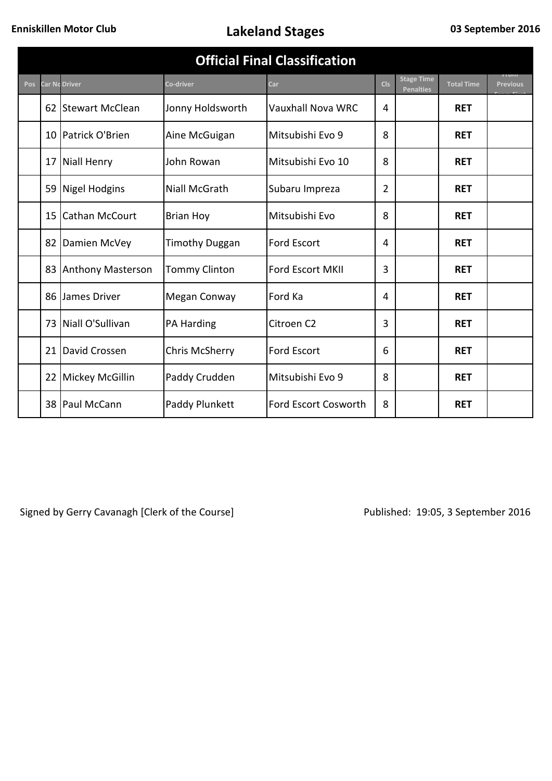|            | <b>Official Final Classification</b><br><b>HRYIN</b><br><b>Stage Time</b><br><b>Car Nc Driver</b> |                       |                       |                          |            |                  |                   |                 |  |  |  |  |  |
|------------|---------------------------------------------------------------------------------------------------|-----------------------|-----------------------|--------------------------|------------|------------------|-------------------|-----------------|--|--|--|--|--|
| <b>Pos</b> |                                                                                                   |                       | Co-driver             | Car                      | <b>Cls</b> | <b>Penalties</b> | <b>Total Time</b> | <b>Previous</b> |  |  |  |  |  |
|            |                                                                                                   | 62 Stewart McClean    | Jonny Holdsworth      | <b>Vauxhall Nova WRC</b> | 4          |                  | <b>RET</b>        |                 |  |  |  |  |  |
|            |                                                                                                   | 10 Patrick O'Brien    | Aine McGuigan         | Mitsubishi Evo 9         | 8          |                  | <b>RET</b>        |                 |  |  |  |  |  |
|            |                                                                                                   | 17 Niall Henry        | John Rowan            | Mitsubishi Evo 10        | 8          |                  | <b>RET</b>        |                 |  |  |  |  |  |
|            |                                                                                                   | 59 Nigel Hodgins      | <b>Niall McGrath</b>  | Subaru Impreza           | 2          |                  | <b>RET</b>        |                 |  |  |  |  |  |
|            | 15 <sup>1</sup>                                                                                   | <b>Cathan McCourt</b> | <b>Brian Hoy</b>      | Mitsubishi Evo           | 8          |                  | <b>RET</b>        |                 |  |  |  |  |  |
|            | 82                                                                                                | Damien McVey          | <b>Timothy Duggan</b> | <b>Ford Escort</b>       | 4          |                  | <b>RET</b>        |                 |  |  |  |  |  |
|            |                                                                                                   | 83 Anthony Masterson  | <b>Tommy Clinton</b>  | <b>Ford Escort MKII</b>  | 3          |                  | <b>RET</b>        |                 |  |  |  |  |  |
|            |                                                                                                   | 86 James Driver       | Megan Conway          | Ford Ka                  | 4          |                  | <b>RET</b>        |                 |  |  |  |  |  |
|            |                                                                                                   | 73 Niall O'Sullivan   | PA Harding            | Citroen C2               | 3          |                  | <b>RET</b>        |                 |  |  |  |  |  |
|            | 21                                                                                                | David Crossen         | Chris McSherry        | <b>Ford Escort</b>       | 6          |                  | <b>RET</b>        |                 |  |  |  |  |  |
|            |                                                                                                   | 22 Mickey McGillin    | Paddy Crudden         | Mitsubishi Evo 9         | 8          |                  | <b>RET</b>        |                 |  |  |  |  |  |
|            |                                                                                                   | 38 Paul McCann        | Paddy Plunkett        | Ford Escort Cosworth     | 8          |                  | <b>RET</b>        |                 |  |  |  |  |  |

Signed by Gerry Cavanagh [Clerk of the Course] Published: 19:05, 3 September 2016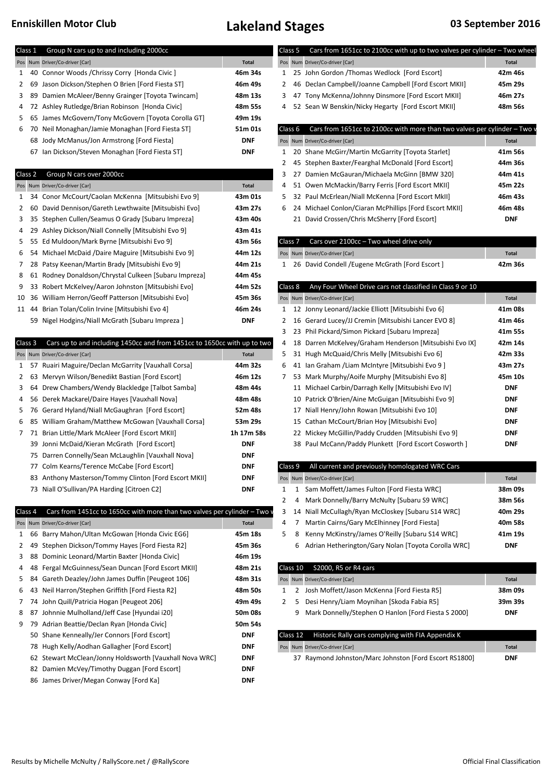### **Enniskillen Motor Club Lakeland Stages 03 September 2016**

| Class 1            | Group N cars up to and including 2000cc                                   |              | Cars from 1651cc to 2100cc with up to two valves per cylinder - Two wheel<br>Class 5 |
|--------------------|---------------------------------------------------------------------------|--------------|--------------------------------------------------------------------------------------|
|                    | Pos Num Driver/Co-driver [Car]                                            | <b>Total</b> | Pos Num Driver/Co-driver [Car]<br><b>Total</b>                                       |
| 40<br>1            | Connor Woods / Chrissy Corry [Honda Civic]                                | 46m 34s      | 25 John Gordon /Thomas Wedlock [Ford Escort]<br>42m 46s<br>$\mathbf{1}$              |
| 2                  | 69 Jason Dickson/Stephen O Brien [Ford Fiesta ST]                         | 46m 49s      | 46 Declan Campbell/Joanne Campbell [Ford Escort MKII]<br>45m 29s<br>$\mathbf{2}$     |
| 89<br>3            | Damien McAleer/Benny Grainger [Toyota Twincam]                            | 48m 13s      | 47 Tony McKenna/Johnny Dinsmore [Ford Escort MKII]<br>46m 27s<br>3                   |
| 4                  | 72 Ashley Rutledge/Brian Robinson [Honda Civic]                           | 48m 55s      | 52 Sean W Benskin/Nicky Hegarty [Ford Escort MKII]<br>48m 56s<br>4                   |
| 5                  | 65 James McGovern/Tony McGovern [Toyota Corolla GT]                       | 49m 19s      |                                                                                      |
| 6                  | 70 Neil Monaghan/Jamie Monaghan [Ford Fiesta ST]                          | 51m 01s      | Cars from 1651cc to 2100cc with more than two valves per cylinder - Two<br>Class 6   |
|                    | 68 Jody McManus/Jon Armstrong [Ford Fiesta]                               | <b>DNF</b>   | Pos Num Driver/Co-driver [Car]<br><b>Total</b>                                       |
|                    | 67 Ian Dickson/Steven Monaghan [Ford Fiesta ST]                           | <b>DNF</b>   | 1 20 Shane McGirr/Martin McGarrity [Toyota Starlet]<br>41m 56s                       |
|                    |                                                                           |              | 45 Stephen Baxter/Fearghal McDonald [Ford Escort]<br>44m 36s<br>2                    |
| Class 2            | Group N cars over 2000cc                                                  |              | 27 Damien McGauran/Michaela McGinn [BMW 320]<br>44m 41s<br>3                         |
|                    | Pos Num Driver/Co-driver [Car]                                            | <b>Total</b> | 51 Owen McMackin/Barry Ferris [Ford Escort MKII]<br>45m 22s<br>4                     |
| $\mathbf{1}$       | 34 Conor McCourt/Caolan McKenna [Mitsubishi Evo 9]                        | 43m 01s      | 5 32 Paul McErlean/Niall McKenna [Ford Escort MkII]<br>46m 43s                       |
| 2                  | 60 David Dennison/Gareth Lewthwaite [Mitsubishi Evo]                      | 43m 27s      | 6 24 Michael Conlon/Ciaran McPhillips [Ford Escort MKII]<br>46m 48s                  |
| 3                  | 35 Stephen Cullen/Seamus O Grady [Subaru Impreza]                         | 43m 40s      | 21 David Crossen/Chris McSherry [Ford Escort]<br><b>DNF</b>                          |
| 4                  | 29 Ashley Dickson/Niall Connelly [Mitsubishi Evo 9]                       | 43m 41s      |                                                                                      |
| 5                  | 55 Ed Muldoon/Mark Byrne [Mitsubishi Evo 9]                               | 43m 56s      | Cars over 2100cc - Two wheel drive only<br>Class <sub>7</sub>                        |
| 6                  | 54 Michael McDaid /Daire Maguire [Mitsubishi Evo 9]                       | 44m 12s      | Pos Num Driver/Co-driver [Car]<br><b>Total</b>                                       |
| 7                  | 28 Patsy Keenan/Martin Brady [Mitsubishi Evo 9]                           | 44m 21s      | 1 26 David Condell / Eugene McGrath [Ford Escort]<br>42m 36s                         |
| 8                  | 61 Rodney Donaldson/Chrystal Culkeen [Subaru Impreza]                     | 44m 45s      |                                                                                      |
| 9                  | 33 Robert McKelvey/Aaron Johnston [Mitsubishi Evo]                        | 44m 52s      | Any Four Wheel Drive cars not classified in Class 9 or 10<br>Class 8                 |
| 10                 | 36 William Herron/Geoff Patterson [Mitsubishi Evo]                        | 45m 36s      | Pos Num Driver/Co-driver [Car]<br><b>Total</b>                                       |
|                    | 11 44 Brian Tolan/Colin Irvine [Mitsubishi Evo 4]                         | 46m 24s      | 1 12 Jonny Leonard/Jackie Elliott [Mitsubishi Evo 6]<br>41m 08s                      |
|                    |                                                                           | <b>DNF</b>   | 16 Gerard Lucey/JJ Cremin [Mitsubishi Lancer EVO 8]                                  |
|                    | 59 Nigel Hodgins/Niall McGrath [Subaru Impreza]                           |              | 41m 46s<br>2                                                                         |
|                    |                                                                           |              | 23 Phil Pickard/Simon Pickard [Subaru Impreza]<br>41m 55s<br>3                       |
| Class 3            | Cars up to and including 1450cc and from 1451cc to 1650cc with up to two  |              | 18 Darren McKelvey/Graham Henderson [Mitsubishi Evo IX]<br>42m 14s<br>4              |
|                    | Pos Num Driver/Co-driver [Car]                                            | <b>Total</b> | 42m 33s<br>5<br>31 Hugh McQuaid/Chris Melly [Mitsubishi Evo 6]                       |
| 1                  | 57 Ruairi Maguire/Declan McGarrity [Vauxhall Corsa]                       | 44m 32s      | 41 Ian Graham / Liam McIntyre [Mitsubishi Evo 9]<br>43m 27s<br>6                     |
| 2                  | 63 Mervyn Wilson/Benedikt Bastian [Ford Escort]                           | 46m 12s      | 7 53 Mark Murphy/Aoife Murphy [Mitsubishi Evo 8]<br>45m 10s                          |
| 3                  | 64 Drew Chambers/Wendy Blackledge [Talbot Samba]                          | 48m 44s      | <b>DNF</b><br>11 Michael Carbin/Darragh Kelly [Mitsubishi Evo IV]                    |
| 4                  | 56 Derek Mackarel/Daire Hayes [Vauxhall Nova]                             | 48m 48s      | <b>DNF</b><br>10 Patrick O'Brien/Aine McGuigan [Mitsubishi Evo 9]                    |
| 5                  | 76 Gerard Hyland/Niall McGaughran [Ford Escort]                           | 52m 48s      | 17 Niall Henry/John Rowan [Mitsubishi Evo 10]<br><b>DNF</b>                          |
| 6<br>85            | William Graham/Matthew McGowan [Vauxhall Corsa]                           | 53m 29s      | 15 Cathan McCourt/Brian Hoy [Mitsubishi Evo]<br><b>DNF</b>                           |
| 7                  | 71 Brian Little/Mark McAleer [Ford Escort MKII]                           | 1h 17m 58s   | 22 Mickey McGillin/Paddy Crudden [Mitsubishi Evo 9]<br><b>DNF</b>                    |
|                    | 39 Jonni McDaid/Kieran McGrath [Ford Escort]                              | <b>DNF</b>   | 38 Paul McCann/Paddy Plunkett [Ford Escort Cosworth]<br><b>DNF</b>                   |
|                    | 75 Darren Connelly/Sean McLaughlin [Vauxhall Nova]                        | <b>DNF</b>   |                                                                                      |
|                    | 77 Colm Kearns/Terence McCabe [Ford Escort]                               | <b>DNF</b>   | All current and previously homologated WRC Cars<br>Class 9                           |
|                    | 83 Anthony Masterson/Tommy Clinton [Ford Escort MKII]                     | <b>DNF</b>   | Pos Num Driver/Co-driver [Car]<br><b>Total</b>                                       |
|                    | 73 Niall O'Sullivan/PA Harding [Citroen C2]                               | <b>DNF</b>   | 1 Sam Moffett/James Fulton [Ford Fiesta WRC]<br>38m 09s<br>1                         |
|                    |                                                                           |              | 2<br>Mark Donnelly/Barry McNulty [Subaru S9 WRC]<br>38m 56s<br>4                     |
| Class <sub>4</sub> | Cars from 1451cc to 1650cc with more than two valves per cylinder - Two v |              | 14 Niall McCullagh/Ryan McCloskey [Subaru S14 WRC]<br>40m 29s<br>3                   |
|                    | Pos Num Driver/Co-driver [Car]                                            | <b>Total</b> | Martin Cairns/Gary McElhinney [Ford Fiesta]<br>40m 58s<br>4<br>7                     |
| 1                  | 66 Barry Mahon/Ultan McGowan [Honda Civic EG6]                            | 45m 18s      | Kenny McKinstry/James O'Reilly [Subaru S14 WRC]<br>41m 19s<br>5<br>8                 |
| 2<br>49            | Stephen Dickson/Tommy Hayes [Ford Fiesta R2]                              | 45m 36s      | <b>DNF</b><br>Adrian Hetherington/Gary Nolan [Toyota Corolla WRC]<br>6               |
| 3                  | 88 Dominic Leonard/Martin Baxter [Honda Civic]                            | 46m 19s      |                                                                                      |
| 4<br>48            | Fergal McGuinness/Sean Duncan [Ford Escort MKII]                          | 48m 21s      | S2000, R5 or R4 cars<br>Class 10                                                     |
| 5                  | 84 Gareth Deazley/John James Duffin [Peugeot 106]                         | 48m 31s      | Pos Num Driver/Co-driver [Car]<br><b>Total</b>                                       |
| 43                 | Neil Harron/Stephen Griffith [Ford Fiesta R2]                             | 48m 50s      | 2 Josh Moffett/Jason McKenna [Ford Fiesta R5]<br>38m 09s<br>$\mathbf{1}$             |
| 6<br>7             | 74 John Quill/Patricia Hogan [Peugeot 206]                                | 49m 49s      | 5 Desi Henry/Liam Moynihan [Skoda Fabia R5]<br>39m 39s<br>2                          |
|                    |                                                                           |              |                                                                                      |
| 8                  | 87 Johnnie Mulholland/Jeff Case [Hyundai i20]                             | 50m 08s      | 9 Mark Donnelly/Stephen O Hanlon [Ford Fiesta S 2000]<br><b>DNF</b>                  |
| 9                  | 79 Adrian Beattie/Declan Ryan [Honda Civic]                               | 50m 54s      |                                                                                      |
|                    | 50 Shane Kenneally/Jer Connors [Ford Escort]                              | <b>DNF</b>   | Historic Rally cars complying with FIA Appendix K<br>Class 12                        |
|                    | 78 Hugh Kelly/Aodhan Gallagher [Ford Escort]                              | DNF          | Pos Num Driver/Co-driver [Car]<br>Total                                              |
|                    | 62 Stewart McClean/Jonny Holdsworth [Vauxhall Nova WRC]                   | <b>DNF</b>   | 37 Raymond Johnston/Marc Johnston [Ford Escort RS1800]<br><b>DNF</b>                 |
|                    | 82 Damien McVey/Timothy Duggan [Ford Escort]                              | <b>DNF</b>   |                                                                                      |
|                    | 86 James Driver/Megan Conway [Ford Ka]                                    | <b>DNF</b>   |                                                                                      |
|                    |                                                                           |              |                                                                                      |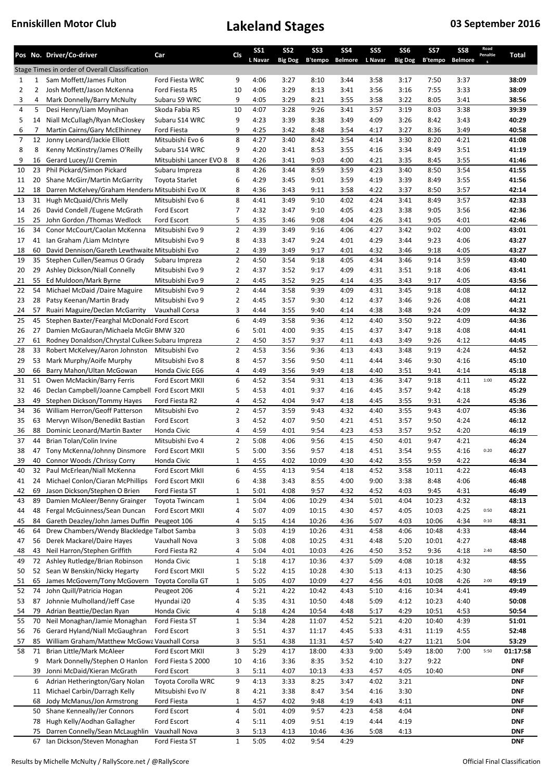|                |                | Pos No. Driver/Co-driver                                       | Car                                     | Cls                 | SS <sub>1</sub> | SS <sub>2</sub> | SS <sub>3</sub> | SS <sub>4</sub> | SS <sub>5</sub> | SS <sub>6</sub> | SS7            | SS <sub>8</sub> | Penaltie | Total                    |
|----------------|----------------|----------------------------------------------------------------|-----------------------------------------|---------------------|-----------------|-----------------|-----------------|-----------------|-----------------|-----------------|----------------|-----------------|----------|--------------------------|
|                |                | Stage Times in order of Overall Classification                 |                                         |                     | L Navar         | <b>Big Dog</b>  | B'tempo         | <b>Belmore</b>  | L Navar         | <b>Big Dog</b>  | <b>B'tempo</b> | <b>Belmore</b>  |          |                          |
| $\mathbf{1}$   | $\mathbf{1}$   | Sam Moffett/James Fulton                                       | Ford Fiesta WRC                         | 9                   | 4:06            | 3:27            | 8:10            | 3:44            | 3:58            | 3:17            | 7:50           | 3:37            |          | 38:09                    |
| $\overline{2}$ | $\overline{2}$ | Josh Moffett/Jason McKenna                                     | Ford Fiesta R5                          | 10                  | 4:06            | 3:29            | 8:13            | 3:41            | 3:56            | 3:16            | 7:55           | 3:33            |          | 38:09                    |
| 3              | 4              | Mark Donnelly/Barry McNulty                                    | Subaru S9 WRC                           | 9                   | 4:05            | 3:29            | 8:21            | 3:55            | 3:58            | 3:22            | 8:05           | 3:41            |          | 38:56                    |
| 4              | 5              | Desi Henry/Liam Moynihan                                       | Skoda Fabia R5                          | 10                  | 4:07            | 3:28            | 9:26            | 3:41            | 3:57            | 3:19            | 8:03           | 3:38            |          | 39:39                    |
| 5              | 14             | Niall McCullagh/Ryan McCloskey                                 | Subaru S14 WRC                          | 9                   | 4:23            | 3:39            | 8:38            | 3:49            | 4:09            | 3:26            | 8:42           | 3:43            |          | 40:29                    |
| 6              | 7              | Martin Cairns/Gary McElhinney                                  | Ford Fiesta                             | 9                   | 4:25            | 3:42            | 8:48            | 3:54            | 4:17            | 3:27            | 8:36           | 3:49            |          | 40:58                    |
| 7              | 12             | Jonny Leonard/Jackie Elliott                                   | Mitsubishi Evo 6                        | 8                   | 4:27            | 3:40            | 8:42            | 3:54            | 4:14            | 3:30            | 8:20           | 4:21            |          | 41:08                    |
| 8              | 8              | Kenny McKinstry/James O'Reilly                                 | Subaru S14 WRC                          | 9                   | 4:20            | 3:41            | 8:53            | 3:55            | 4:16            | 3:34            | 8:49           | 3:51            |          | 41:19                    |
| 9              | 16             | Gerard Lucey/JJ Cremin                                         | Mitsubishi Lancer EVO 8                 | 8                   | 4:26            | 3:41            | 9:03            | 4:00            | 4:21            | 3:35            | 8:45           | 3:55            |          | 41:46                    |
| 10             | 23             | Phil Pickard/Simon Pickard                                     | Subaru Impreza                          | 8                   | 4:26            | 3:44            | 8:59            | 3:59            | 4:23            | 3:40            | 8:50           | 3:54            |          | 41:55                    |
| 11             | 20             | Shane McGirr/Martin McGarrity                                  | <b>Toyota Starlet</b>                   | 6                   | 4:29            | 3:45            | 9:01            | 3:59            | 4:19            | 3:39            | 8:49           | 3:55            |          | 41:56                    |
| 12             | 18             | Darren McKelvey/Graham Henders Mitsubishi Evo IX               |                                         | 8                   | 4:36            | 3:43            | 9:11            | 3:58            | 4:22            | 3:37            | 8:50           | 3:57            |          | 42:14                    |
| 13             | 31             | Hugh McQuaid/Chris Melly                                       | Mitsubishi Evo 6                        | 8                   | 4:41            | 3:49            | 9:10            | 4:02            | 4:24            | 3:41            | 8:49           | 3:57            |          | 42:33                    |
| 14             | 26             | David Condell / Eugene McGrath                                 | Ford Escort                             | 7                   | 4:32            | 3:47            | 9:10            | 4:05            | 4:23            | 3:38            | 9:05           | 3:56            |          | 42:36                    |
| 15             | 25             | John Gordon / Thomas Wedlock                                   | Ford Escort                             | 5                   | 4:35            | 3:46            | 9:08            | 4:04            | 4:26            | 3:41            | 9:05           | 4:01            |          | 42:46                    |
| 16             | 34             | Conor McCourt/Caolan McKenna                                   | Mitsubishi Evo 9                        | $\overline{2}$      | 4:39            | 3:49            | 9:16            | 4:06            | 4:27            | 3:42            | 9:02           | 4:00            |          | 43:01                    |
| 17             | 41             | Ian Graham / Liam McIntyre                                     | Mitsubishi Evo 9                        | 8                   | 4:33            | 3:47            | 9:24            | 4:01            | 4:29            | 3:44            | 9:23           | 4:06            |          | 43:27                    |
| 18             | 60             | David Dennison/Gareth Lewthwaite Mitsubishi Evo                |                                         | $\overline{2}$      | 4:39            | 3:49            | 9:17            | 4:01            | 4:32            | 3:46            | 9:18           | 4:05            |          | 43:27                    |
| 19             | 35             | Stephen Cullen/Seamus O Grady                                  | Subaru Impreza                          | 2<br>$\overline{2}$ | 4:50            | 3:54            | 9:18            | 4:05<br>4:09    | 4:34            | 3:46            | 9:14           | 3:59            |          | 43:40                    |
| 20<br>21       | 29<br>55       | Ashley Dickson/Niall Connelly<br>Ed Muldoon/Mark Byrne         | Mitsubishi Evo 9<br>Mitsubishi Evo 9    | $\overline{2}$      | 4:37<br>4:45    | 3:52<br>3:52    | 9:17<br>9:25    | 4:14            | 4:31<br>4:35    | 3:51<br>3:43    | 9:18<br>9:17   | 4:06<br>4:05    |          | 43:41<br>43:56           |
| 22             | 54             | Michael McDaid /Daire Maguire                                  | Mitsubishi Evo 9                        | $\overline{2}$      | 4:44            | 3:58            | 9:39            | 4:09            | 4:31            | 3:45            | 9:18           | 4:08            |          | 44:12                    |
| 23             | 28             | Patsy Keenan/Martin Brady                                      | Mitsubishi Evo 9                        | 2                   | 4:45            | 3:57            | 9:30            | 4:12            | 4:37            | 3:46            | 9:26           | 4:08            |          | 44:21                    |
| 24             | 57             | Ruairi Maguire/Declan McGarrity                                | Vauxhall Corsa                          | 3                   | 4:44            | 3:55            | 9:40            | 4:14            | 4:38            | 3:48            | 9:24           | 4:09            |          | 44:32                    |
| 25             | 45             | Stephen Baxter/Fearghal McDonald Ford Escort                   |                                         | 6                   | 4:49            | 3:58            | 9:36            | 4:12            | 4:40            | 3:50            | 9:22           | 4:09            |          | 44:36                    |
| 26             | 27             | Damien McGauran/Michaela McGir BMW 320                         |                                         | 6                   | 5:01            | 4:00            | 9:35            | 4:15            | 4:37            | 3:47            | 9:18           | 4:08            |          | 44:41                    |
| 27             | 61             | Rodney Donaldson/Chrystal Culkee Subaru Impreza                |                                         | $\overline{2}$      | 4:50            | 3:57            | 9:37            | 4:11            | 4:43            | 3:49            | 9:26           | 4:12            |          | 44:45                    |
| 28             | 33             | Robert McKelvey/Aaron Johnston                                 | Mitsubishi Evo                          | $\overline{2}$      | 4:53            | 3:56            | 9:36            | 4:13            | 4:43            | 3:48            | 9:19           | 4:24            |          | 44:52                    |
| 29             | 53             | Mark Murphy/Aoife Murphy                                       | Mitsubishi Evo 8                        | 8                   | 4:57            | 3:56            | 9:50            | 4:11            | 4:44            | 3:46            | 9:30           | 4:16            |          | 45:10                    |
| 30             | 66             | Barry Mahon/Ultan McGowan                                      | Honda Civic EG6                         | 4                   | 4:49            | 3:56            | 9:49            | 4:18            | 4:40            | 3:51            | 9:41           | 4:14            |          | 45:18                    |
| 31             | 51             | Owen McMackin/Barry Ferris                                     | Ford Escort MKII                        | 6                   | 4:52            | 3:54            | 9:31            | 4:13            | 4:36            | 3:47            | 9:18           | 4:11            | 1:00     | 45:22                    |
| 32             | 46             | Declan Campbell/Joanne Campbell Ford Escort MKII               |                                         | 5                   | 4:53            | 4:01            | 9:37            | 4:16            | 4:45            | 3:57            | 9:42           | 4:18            |          | 45:29                    |
| 33             | 49             | Stephen Dickson/Tommy Hayes                                    | Ford Fiesta R2                          | 4                   | 4:52            | 4:04            | 9:47            | 4:18            | 4:45            | 3:55            | 9:31           | 4:24            |          | 45:36                    |
| 34             | 36             | William Herron/Geoff Patterson                                 | Mitsubishi Evo                          | 2                   | 4:57            | 3:59            | 9:43            | 4:32            | 4:40            | 3:55            | 9:43           | 4:07            |          | 45:36                    |
| 35             | 63             | Mervyn Wilson/Benedikt Bastian                                 | Ford Escort                             | 3                   | 4:52            | 4:07            | 9:50            | 4:21            | 4:51            | 3:57            | 9:50           | 4:24            |          | 46:12                    |
| 36             | 88             | Dominic Leonard/Martin Baxter                                  | Honda Civic                             | 4                   | 4:59            | 4:01            | 9:54            | 4:23            | 4:53            | 3:57            | 9:52           | 4:20            |          | 46:19                    |
| 37             | 44             | Brian Tolan/Colin Irvine                                       | Mitsubishi Evo 4                        | $\overline{2}$      | 5:08            | 4:06            | 9:56            | 4:15            | 4:50            | 4:01            | 9:47           | 4:21            |          | 46:24                    |
| 38             |                | 47 Tony McKenna/Johnny Dinsmore                                | Ford Escort MKII                        | 5                   | 5:00            | 3:56            | 9:57            | 4:18            | 4:51            | 3:54            | 9:55           | 4:16            | 0:20     | 46:27                    |
| 39             | 40             | Connor Woods / Chrissy Corry<br>Paul McErlean/Niall McKenna    | Honda Civic                             | $\mathbf{1}$        | 4:55            | 4:02            | 10:09           | 4:30            | 4:42            | 3:55            | 9:59           | 4:22<br>4:22    |          | 46:34                    |
| 40<br>41       | 32<br>24       | Michael Conlon/Ciaran McPhillips                               | Ford Escort MkII<br>Ford Escort MKII    | 6<br>6              | 4:55<br>4:38    | 4:13<br>3:43    | 9:54<br>8:55    | 4:18<br>4:00    | 4:52<br>9:00    | 3:58<br>3:38    | 10:11<br>8:48  | 4:06            |          | 46:43<br>46:48           |
| 42             | 69             | Jason Dickson/Stephen O Brien                                  | Ford Fiesta ST                          | $\mathbf{1}$        | 5:01            | 4:08            | 9:57            | 4:32            | 4:52            | 4:03            | 9:45           | 4:31            |          | 46:49                    |
| 43             | 89             | Damien McAleer/Benny Grainger                                  | Toyota Twincam                          | $\mathbf 1$         | 5:04            | 4:06            | 10:29           | 4:34            | 5:01            | 4:04            | 10:23          | 4:32            |          | 48:13                    |
| 44             | 48             | Fergal McGuinness/Sean Duncan                                  | Ford Escort MKII                        | 4                   | 5:07            | 4:09            | 10:15           | 4:30            | 4:57            | 4:05            | 10:03          | 4:25            | 0:50     | 48:21                    |
| 45             | 84             | Gareth Deazley/John James Duffin                               | Peugeot 106                             | 4                   | 5:15            | 4:14            | 10:26           | 4:36            | 5:07            | 4:03            | 10:06          | 4:34            | 0:10     | 48:31                    |
| 46             | 64             | Drew Chambers/Wendy Blackledge Talbot Samba                    |                                         | 3                   | 5:03            | 4:19            | 10:26           | 4:31            | 4:58            | 4:06            | 10:48          | 4:33            |          | 48:44                    |
| 47             | 56             | Derek Mackarel/Daire Hayes                                     | Vauxhall Nova                           | 3                   | 5:08            | 4:08            | 10:25           | 4:31            | 4:48            | 5:20            | 10:01          | 4:27            |          | 48:48                    |
| 48             | 43             | Neil Harron/Stephen Griffith                                   | Ford Fiesta R2                          | 4                   | 5:04            | 4:01            | 10:03           | 4:26            | 4:50            | 3:52            | 9:36           | 4:18            | 2:40     | 48:50                    |
| 49             | 72             | Ashley Rutledge/Brian Robinson                                 | Honda Civic                             | $\mathbf{1}$        | 5:18            | 4:17            | 10:36           | 4:37            | 5:09            | 4:08            | 10:18          | 4:32            |          | 48:55                    |
| 50             | 52             | Sean W Benskin/Nicky Hegarty                                   | Ford Escort MKII                        | 5                   | 5:22            | 4:15            | 10:28           | 4:30            | 5:13            | 4:13            | 10:25          | 4:30            |          | 48:56                    |
| 51             | 65             | James McGovern/Tony McGovern                                   | Toyota Corolla GT                       | 1                   | 5:05            | 4:07            | 10:09           | 4:27            | 4:56            | 4:01            | 10:08          | 4:26            | 2:00     | 49:19                    |
| 52             | 74             | John Quill/Patricia Hogan                                      | Peugeot 206                             | 4                   | 5:21            | 4:22            | 10:42           | 4:43            | 5:10            | 4:16            | 10:34          | 4:41            |          | 49:49                    |
| 53             | 87             | Johnnie Mulholland/Jeff Case                                   | Hyundai i20                             | 4                   | 5:35            | 4:31            | 10:50           | 4:48            | 5:09            | 4:12            | 10:23          | 4:40            |          | 50:08                    |
| 54             | 79             | Adrian Beattie/Declan Ryan                                     | Honda Civic                             | 4                   | 5:18            | 4:24            | 10:54           | 4:48            | 5:17            | 4:29            | 10:51          | 4:53            |          | 50:54                    |
| 55             | 70             | Neil Monaghan/Jamie Monaghan                                   | Ford Fiesta ST                          | $\mathbf{1}$        | 5:34            | 4:28            | 11:07           | 4:52            | 5:21            | 4:20            | 10:40          | 4:39            |          | 51:01                    |
| 56             | 76             | Gerard Hyland/Niall McGaughran                                 | Ford Escort                             | 3                   | 5:51            | 4:37            | 11:17           | 4:45            | 5:33            | 4:31            | 11:19          | 4:55            |          | 52:48                    |
| 57             | 85             | William Graham/Matthew McGowa Vauxhall Corsa                   |                                         | 3                   | 5:51            | 4:38            | 11:31           | 4:57            | 5:40            | 4:27            | 11:21          | 5:04            |          | 53:29                    |
| 58             | 71             | Brian Little/Mark McAleer                                      | Ford Escort MKII                        | 3                   | 5:29            | 4:17            | 18:00           | 4:33            | 9:00            | 5:49            | 18:00          | 7:00            | 5:50     | 01:17:58                 |
|                | 9              | Mark Donnelly/Stephen O Hanlon                                 | Ford Fiesta S 2000                      | 10                  | 4:16            | 3:36            | 8:35            | 3:52            | 4:10            | 3:27            | 9:22           |                 |          | <b>DNF</b>               |
|                | 39<br>6        | Jonni McDaid/Kieran McGrath                                    | Ford Escort                             | 3<br>9              | 5:11<br>4:13    | 4:07<br>3:33    | 10:13           | 4:33<br>3:47    | 4:57<br>4:02    | 4:05<br>3:21    | 10:40          |                 |          | <b>DNF</b><br><b>DNF</b> |
|                | 11             | Adrian Hetherington/Gary Nolan<br>Michael Carbin/Darragh Kelly | Toyota Corolla WRC<br>Mitsubishi Evo IV | 8                   | 4:21            | 3:38            | 8:25<br>8:47    | 3:54            | 4:16            |                 |                |                 |          | <b>DNF</b>               |
|                | 68             | Jody McManus/Jon Armstrong                                     | Ford Fiesta                             | $\mathbf 1$         | 4:57            | 4:02            | 9:48            | 4:19            | 4:43            | 3:30<br>4:11    |                |                 |          | <b>DNF</b>               |
|                | 50             | Shane Kenneally/Jer Connors                                    | Ford Escort                             | 4                   | 5:01            | 4:09            | 9:57            | 4:23            | 4:58            | 4:04            |                |                 |          | <b>DNF</b>               |
|                | 78             | Hugh Kelly/Aodhan Gallagher                                    | Ford Escort                             | 4                   | 5:11            | 4:09            | 9:51            | 4:19            | 4:44            | 4:19            |                |                 |          | <b>DNF</b>               |
|                | 75             | Darren Connelly/Sean McLaughlin                                | Vauxhall Nova                           | 3                   | 5:13            | 4:13            | 10:46           | 4:36            | 5:08            | 4:13            |                |                 |          | <b>DNF</b>               |
|                | 67             | Ian Dickson/Steven Monaghan                                    | Ford Fiesta ST                          | $\mathbf 1$         | 5:05            | 4:02            | 9:54            | 4:29            |                 |                 |                |                 |          | <b>DNF</b>               |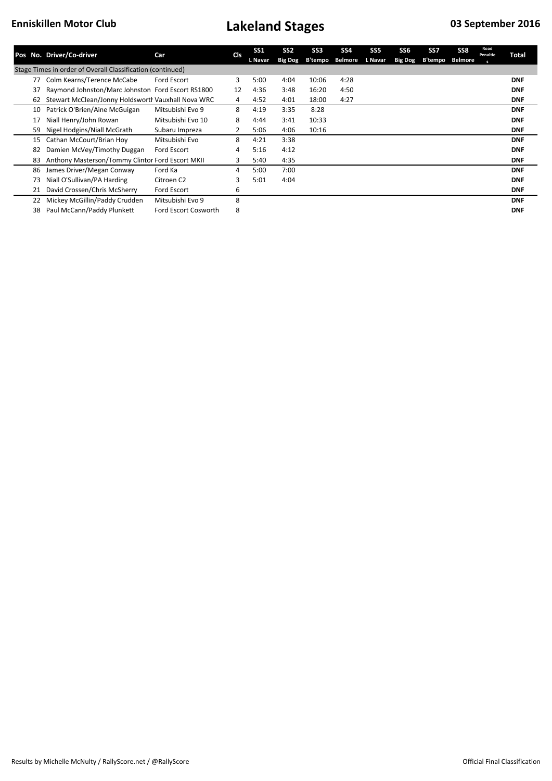|    | Pos No. Driver/Co-driver                                   | Car                  | <b>CIs</b>     | <b>SS1</b><br>L Navar | SS <sub>2</sub><br><b>Big Dog</b> | SS <sub>3</sub><br>B'tempo | SS <sub>4</sub><br><b>Belmore</b> | SS <sub>5</sub><br>L Navar | SS <sub>6</sub><br><b>Big Dog</b> | SS7<br><b>B'tempo</b> | SS8<br><b>Belmore</b> | Road<br>Penaltie<br>$\mathbf{s}$ | <b>Total</b> |
|----|------------------------------------------------------------|----------------------|----------------|-----------------------|-----------------------------------|----------------------------|-----------------------------------|----------------------------|-----------------------------------|-----------------------|-----------------------|----------------------------------|--------------|
|    | Stage Times in order of Overall Classification (continued) |                      |                |                       |                                   |                            |                                   |                            |                                   |                       |                       |                                  |              |
| 77 | Colm Kearns/Terence McCabe                                 | Ford Escort          | 3              | 5:00                  | 4:04                              | 10:06                      | 4:28                              |                            |                                   |                       |                       |                                  | <b>DNF</b>   |
| 37 | Raymond Johnston/Marc Johnston Ford Escort RS1800          |                      | 12             | 4:36                  | 3:48                              | 16:20                      | 4:50                              |                            |                                   |                       |                       |                                  | <b>DNF</b>   |
| 62 | Stewart McClean/Jonny Holdsworth Vauxhall Nova WRC         |                      | 4              | 4:52                  | 4:01                              | 18:00                      | 4:27                              |                            |                                   |                       |                       |                                  | <b>DNF</b>   |
| 10 | Patrick O'Brien/Aine McGuigan                              | Mitsubishi Evo 9     | 8              | 4:19                  | 3:35                              | 8:28                       |                                   |                            |                                   |                       |                       |                                  | <b>DNF</b>   |
| 17 | Niall Henry/John Rowan                                     | Mitsubishi Evo 10    | 8              | 4:44                  | 3:41                              | 10:33                      |                                   |                            |                                   |                       |                       |                                  | <b>DNF</b>   |
| 59 | Nigel Hodgins/Niall McGrath                                | Subaru Impreza       | $\overline{2}$ | 5:06                  | 4:06                              | 10:16                      |                                   |                            |                                   |                       |                       |                                  | <b>DNF</b>   |
| 15 | Cathan McCourt/Brian Hoy                                   | Mitsubishi Evo       | 8              | 4:21                  | 3:38                              |                            |                                   |                            |                                   |                       |                       |                                  | <b>DNF</b>   |
| 82 | Damien McVey/Timothy Duggan                                | Ford Escort          | 4              | 5:16                  | 4:12                              |                            |                                   |                            |                                   |                       |                       |                                  | <b>DNF</b>   |
| 83 | Anthony Masterson/Tommy Clintor Ford Escort MKII           |                      | 3              | 5:40                  | 4:35                              |                            |                                   |                            |                                   |                       |                       |                                  | <b>DNF</b>   |
| 86 | James Driver/Megan Conway                                  | Ford Ka              | 4              | 5:00                  | 7:00                              |                            |                                   |                            |                                   |                       |                       |                                  | <b>DNF</b>   |
| 73 | Niall O'Sullivan/PA Harding                                | Citroen C2           | 3              | 5:01                  | 4:04                              |                            |                                   |                            |                                   |                       |                       |                                  | <b>DNF</b>   |
| 21 | David Crossen/Chris McSherry                               | Ford Escort          | 6              |                       |                                   |                            |                                   |                            |                                   |                       |                       |                                  | <b>DNF</b>   |
| 22 | Mickey McGillin/Paddy Crudden                              | Mitsubishi Evo 9     | 8              |                       |                                   |                            |                                   |                            |                                   |                       |                       |                                  | <b>DNF</b>   |
| 38 | Paul McCann/Paddy Plunkett                                 | Ford Escort Cosworth | 8              |                       |                                   |                            |                                   |                            |                                   |                       |                       |                                  | <b>DNF</b>   |
|    |                                                            |                      |                |                       |                                   |                            |                                   |                            |                                   |                       |                       |                                  |              |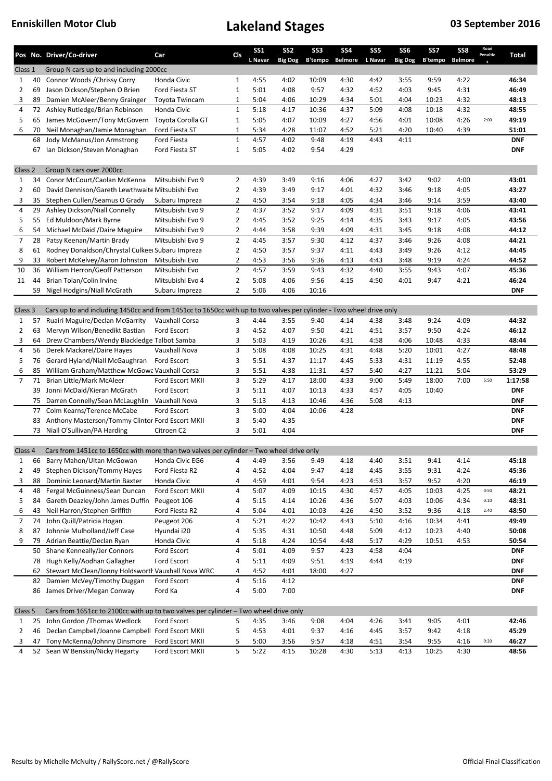|                |          | Pos No. Driver/Co-driver                                                                                            | Car                                | Cls                              | <b>SS1</b><br>L Navar | SS <sub>2</sub><br><b>Big Dog</b> | SS <sub>3</sub><br><b>B'tempo</b> | <b>SS4</b><br>Belmore | SS <sub>5</sub><br>L Navar | SS <sub>6</sub><br><b>Big Dog</b> | SS7<br><b>B'tempo</b> | SS <sub>8</sub><br><b>Belmore</b> | Road<br>Penaltie<br>s | Total                    |
|----------------|----------|---------------------------------------------------------------------------------------------------------------------|------------------------------------|----------------------------------|-----------------------|-----------------------------------|-----------------------------------|-----------------------|----------------------------|-----------------------------------|-----------------------|-----------------------------------|-----------------------|--------------------------|
| Class 1        |          | Group N cars up to and including 2000cc                                                                             |                                    |                                  |                       |                                   |                                   |                       |                            |                                   |                       |                                   |                       |                          |
| $\mathbf{1}$   | 40       | Connor Woods / Chrissy Corry                                                                                        | Honda Civic                        | 1                                | 4:55                  | 4:02                              | 10:09                             | 4:30                  | 4:42                       | 3:55                              | 9:59                  | 4:22                              |                       | 46:34                    |
| $\overline{2}$ | 69       | Jason Dickson/Stephen O Brien                                                                                       | Ford Fiesta ST                     | $\mathbf{1}$                     | 5:01                  | 4:08                              | 9:57                              | 4:32                  | 4:52                       | 4:03                              | 9:45                  | 4:31                              |                       | 46:49                    |
| 3              | 89       | Damien McAleer/Benny Grainger                                                                                       | Toyota Twincam                     | $\mathbf{1}$                     | 5:04                  | 4:06                              | 10:29                             | 4:34                  | 5:01                       | 4:04                              | 10:23                 | 4:32                              |                       | 48:13                    |
| 4              | 72       | Ashley Rutledge/Brian Robinson                                                                                      | Honda Civic                        | $\mathbf{1}$                     | 5:18                  | 4:17                              | 10:36                             | 4:37                  | 5:09                       | 4:08                              | 10:18                 | 4:32                              |                       | 48:55                    |
| 5              | 65       | James McGovern/Tony McGovern                                                                                        | Toyota Corolla GT                  | $\mathbf{1}$                     | 5:05                  | 4:07                              | 10:09                             | 4:27                  | 4:56                       | 4:01                              | 10:08                 | 4:26                              | 2:00                  | 49:19                    |
| 6              | 70<br>68 | Neil Monaghan/Jamie Monaghan<br>Jody McManus/Jon Armstrong                                                          | Ford Fiesta ST<br>Ford Fiesta      | $\mathbf{1}$<br>$\mathbf{1}$     | 5:34<br>4:57          | 4:28<br>4:02                      | 11:07<br>9:48                     | 4:52<br>4:19          | 5:21<br>4:43               | 4:20<br>4:11                      | 10:40                 | 4:39                              |                       | 51:01<br><b>DNF</b>      |
|                | 67       | Ian Dickson/Steven Monaghan                                                                                         | Ford Fiesta ST                     | $\mathbf{1}$                     | 5:05                  | 4:02                              | 9:54                              | 4:29                  |                            |                                   |                       |                                   |                       | <b>DNF</b>               |
|                |          |                                                                                                                     |                                    |                                  |                       |                                   |                                   |                       |                            |                                   |                       |                                   |                       |                          |
| Class 2        |          | Group N cars over 2000cc                                                                                            |                                    |                                  |                       |                                   |                                   |                       |                            |                                   |                       |                                   |                       |                          |
| $\mathbf{1}$   | 34       | Conor McCourt/Caolan McKenna                                                                                        | Mitsubishi Evo 9                   | 2                                | 4:39                  | 3:49                              | 9:16                              | 4:06                  | 4:27                       | 3:42                              | 9:02                  | 4:00                              |                       | 43:01                    |
| $\overline{2}$ | 60       | David Dennison/Gareth Lewthwaite Mitsubishi Evo                                                                     |                                    | $\overline{2}$                   | 4:39                  | 3:49                              | 9:17                              | 4:01                  | 4:32                       | 3:46                              | 9:18                  | 4:05                              |                       | 43:27                    |
| 3              | 35       | Stephen Cullen/Seamus O Grady                                                                                       | Subaru Impreza                     | $\overline{2}$                   | 4:50                  | 3:54                              | 9:18                              | 4:05                  | 4:34                       | 3:46                              | 9:14                  | 3:59                              |                       | 43:40                    |
| 4              | 29       | Ashley Dickson/Niall Connelly                                                                                       | Mitsubishi Evo 9                   | $\overline{2}$                   | 4:37                  | 3:52                              | 9:17                              | 4:09                  | 4:31                       | 3:51                              | 9:18                  | 4:06                              |                       | 43:41                    |
| 5              | 55       | Ed Muldoon/Mark Byrne                                                                                               | Mitsubishi Evo 9                   | $\overline{2}$                   | 4:45                  | 3:52                              | 9:25                              | 4:14                  | 4:35                       | 3:43                              | 9:17                  | 4:05                              |                       | 43:56                    |
| 6              | 54       | Michael McDaid /Daire Maguire                                                                                       | Mitsubishi Evo 9                   | $\overline{2}$                   | 4:44                  | 3:58                              | 9:39                              | 4:09                  | 4:31                       | 3:45                              | 9:18                  | 4:08                              |                       | 44:12                    |
| 7              | 28       | Patsy Keenan/Martin Brady                                                                                           | Mitsubishi Evo 9                   | $\overline{2}$                   | 4:45                  | 3:57                              | 9:30                              | 4:12                  | 4:37                       | 3:46                              | 9:26                  | 4:08                              |                       | 44:21                    |
| 8              | 61       | Rodney Donaldson/Chrystal Culkee Subaru Impreza                                                                     |                                    | $\overline{2}$                   | 4:50                  | 3:57                              | 9:37                              | 4:11                  | 4:43                       | 3:49                              | 9:26                  | 4:12                              |                       | 44:45                    |
| 9              | 33       | Robert McKelvey/Aaron Johnston                                                                                      | Mitsubishi Evo                     | $\overline{2}$                   | 4:53                  | 3:56                              | 9:36                              | 4:13                  | 4:43                       | 3:48                              | 9:19                  | 4:24                              |                       | 44:52                    |
| 10             | 36       | William Herron/Geoff Patterson<br>Brian Tolan/Colin Irvine                                                          | Mitsubishi Evo                     | $\overline{2}$<br>$\overline{2}$ | 4:57                  | 3:59                              | 9:43                              | 4:32                  | 4:40                       | 3:55                              | 9:43                  | 4:07<br>4:21                      |                       | 45:36                    |
| 11             | 44<br>59 | Nigel Hodgins/Niall McGrath                                                                                         | Mitsubishi Evo 4<br>Subaru Impreza | $\overline{2}$                   | 5:08<br>5:06          | 4:06<br>4:06                      | 9:56<br>10:16                     | 4:15                  | 4:50                       | 4:01                              | 9:47                  |                                   |                       | 46:24<br><b>DNF</b>      |
|                |          |                                                                                                                     |                                    |                                  |                       |                                   |                                   |                       |                            |                                   |                       |                                   |                       |                          |
| Class 3        |          | Cars up to and including 1450cc and from 1451cc to 1650cc with up to two valves per cylinder - Two wheel drive only |                                    |                                  |                       |                                   |                                   |                       |                            |                                   |                       |                                   |                       |                          |
| $\mathbf{1}$   | 57       | Ruairi Maguire/Declan McGarrity                                                                                     | Vauxhall Corsa                     | 3                                | 4:44                  | 3:55                              | 9:40                              | 4:14                  | 4:38                       | 3:48                              | 9:24                  | 4:09                              |                       | 44:32                    |
| 2              | 63       | Mervyn Wilson/Benedikt Bastian                                                                                      | Ford Escort                        | 3                                | 4:52                  | 4:07                              | 9:50                              | 4:21                  | 4:51                       | 3:57                              | 9:50                  | 4:24                              |                       | 46:12                    |
| 3              | 64       | Drew Chambers/Wendy Blackledge Talbot Samba                                                                         |                                    | 3                                | 5:03                  | 4:19                              | 10:26                             | 4:31                  | 4:58                       | 4:06                              | 10:48                 | 4:33                              |                       | 48:44                    |
| 4              | 56       | Derek Mackarel/Daire Hayes                                                                                          | Vauxhall Nova                      | 3                                | 5:08                  | 4:08                              | 10:25                             | 4:31                  | 4:48                       | 5:20                              | 10:01                 | 4:27                              |                       | 48:48                    |
| 5              | 76       | Gerard Hyland/Niall McGaughran                                                                                      | Ford Escort                        | 3                                | 5:51                  | 4:37                              | 11:17                             | 4:45                  | 5:33                       | 4:31                              | 11:19                 | 4:55                              |                       | 52:48                    |
| 6              | 85       | William Graham/Matthew McGowa Vauxhall Corsa                                                                        |                                    | 3                                | 5:51                  | 4:38                              | 11:31                             | 4:57                  | 5:40                       | 4:27                              | 11:21                 | 5:04                              |                       | 53:29                    |
| $\overline{7}$ | 71       | Brian Little/Mark McAleer                                                                                           | Ford Escort MKII                   | 3                                | 5:29                  | 4:17                              | 18:00                             | 4:33                  | 9:00                       | 5:49                              | 18:00                 | 7:00                              | 5:50                  | 1:17:58                  |
|                | 39       | Jonni McDaid/Kieran McGrath                                                                                         | Ford Escort                        | 3                                | 5:11                  | 4:07                              | 10:13                             | 4:33                  | 4:57                       | 4:05                              | 10:40                 |                                   |                       | <b>DNF</b>               |
|                | 75       | Darren Connelly/Sean McLaughlin                                                                                     | Vauxhall Nova                      | 3                                | 5:13                  | 4:13                              | 10:46                             | 4:36                  | 5:08                       | 4:13                              |                       |                                   |                       | <b>DNF</b>               |
|                | 77       | Colm Kearns/Terence McCabe                                                                                          | Ford Escort                        | 3                                | 5:00                  | 4:04                              | 10:06                             | 4:28                  |                            |                                   |                       |                                   |                       | <b>DNF</b>               |
|                | 83       | Anthony Masterson/Tommy Clintor Ford Escort MKII                                                                    |                                    | 3                                | 5:40                  | 4:35                              |                                   |                       |                            |                                   |                       |                                   |                       | <b>DNF</b>               |
|                | 73       | Niall O'Sullivan/PA Harding                                                                                         | Citroen C2                         | 3                                | 5:01                  | 4:04                              |                                   |                       |                            |                                   |                       |                                   |                       | <b>DNF</b>               |
| Class 4        |          | Cars from 1451cc to 1650cc with more than two valves per cylinder - Two wheel drive only                            |                                    |                                  |                       |                                   |                                   |                       |                            |                                   |                       |                                   |                       |                          |
|                |          | 66 Barry Mahon/Ultan McGowan                                                                                        | Honda Civic EG6                    | 4                                | 4:49                  | 3:56                              | 9:49                              | 4:18                  | 4:40                       | 3:51                              | 9:41                  | 4:14                              |                       | 45:18                    |
| 2              | 49       | Stephen Dickson/Tommy Hayes                                                                                         | Ford Fiesta R2                     | 4                                | 4:52                  | 4:04                              | 9:47                              | 4:18                  | 4:45                       | 3:55                              | 9:31                  | 4:24                              |                       | 45:36                    |
| 3              | 88       | Dominic Leonard/Martin Baxter                                                                                       | Honda Civic                        | 4                                | 4:59                  | 4:01                              | 9:54                              | 4:23                  | 4:53                       | 3:57                              | 9:52                  | 4:20                              |                       | 46:19                    |
| 4              | 48       | Fergal McGuinness/Sean Duncan                                                                                       | Ford Escort MKII                   | 4                                | 5:07                  | 4:09                              | 10:15                             | 4:30                  | 4:57                       | 4:05                              | 10:03                 | 4:25                              | 0:50                  | 48:21                    |
| 5              | 84       | Gareth Deazley/John James Duffin                                                                                    | Peugeot 106                        | 4                                | 5:15                  | 4:14                              | 10:26                             | 4:36                  | 5:07                       | 4:03                              | 10:06                 | 4:34                              | 0:10                  | 48:31                    |
| 6              | 43       | Neil Harron/Stephen Griffith                                                                                        | Ford Fiesta R2                     | 4                                | 5:04                  | 4:01                              | 10:03                             | 4:26                  | 4:50                       | 3:52                              | 9:36                  | 4:18                              | 2:40                  | 48:50                    |
| 7              | 74       | John Quill/Patricia Hogan                                                                                           | Peugeot 206                        | 4                                | 5:21                  | 4:22                              | 10:42                             | 4:43                  | 5:10                       | 4:16                              | 10:34                 | 4:41                              |                       | 49:49                    |
| 8              | 87       | Johnnie Mulholland/Jeff Case                                                                                        | Hyundai i20                        | 4                                | 5:35                  | 4:31                              | 10:50                             | 4:48                  | 5:09                       | 4:12                              | 10:23                 | 4:40                              |                       | 50:08                    |
| 9              | 79       | Adrian Beattie/Declan Ryan                                                                                          | Honda Civic                        | 4                                | 5:18                  | 4:24                              | 10:54                             | 4:48                  | 5:17                       | 4:29                              | 10:51                 | 4:53                              |                       | 50:54                    |
|                | 50       | Shane Kenneally/Jer Connors                                                                                         | Ford Escort                        | 4                                | 5:01                  | 4:09                              | 9:57                              | 4:23                  | 4:58                       | 4:04                              |                       |                                   |                       | <b>DNF</b>               |
|                | 78       | Hugh Kelly/Aodhan Gallagher                                                                                         | Ford Escort                        | 4                                | 5:11                  | 4:09                              | 9:51                              | 4:19                  | 4:44                       | 4:19                              |                       |                                   |                       | <b>DNF</b>               |
|                | 62       | Stewart McClean/Jonny Holdsworth Vauxhall Nova WRC                                                                  |                                    | 4                                | 4:52                  | 4:01                              | 18:00                             | 4:27                  |                            |                                   |                       |                                   |                       | <b>DNF</b>               |
|                | 82<br>86 | Damien McVey/Timothy Duggan<br>James Driver/Megan Conway                                                            | Ford Escort<br>Ford Ka             | 4<br>4                           | 5:16<br>5:00          | 4:12<br>7:00                      |                                   |                       |                            |                                   |                       |                                   |                       | <b>DNF</b><br><b>DNF</b> |
|                |          |                                                                                                                     |                                    |                                  |                       |                                   |                                   |                       |                            |                                   |                       |                                   |                       |                          |
| Class 5        |          | Cars from 1651cc to 2100cc with up to two valves per cylinder - Two wheel drive only                                |                                    |                                  |                       |                                   |                                   |                       |                            |                                   |                       |                                   |                       |                          |
| $\mathbf{1}$   | 25       | John Gordon / Thomas Wedlock                                                                                        | Ford Escort                        | 5                                | 4:35                  | 3:46                              | 9:08                              | 4:04                  | 4:26                       | 3:41                              | 9:05                  | 4:01                              |                       | 42:46                    |
| 2              | 46       | Declan Campbell/Joanne Campbell Ford Escort MKII                                                                    |                                    | 5                                | 4:53                  | 4:01                              | 9:37                              | 4:16                  | 4:45                       | 3:57                              | 9:42                  | 4:18                              |                       | 45:29                    |
| 3              | 47       | Tony McKenna/Johnny Dinsmore                                                                                        | Ford Escort MKII                   | 5                                | 5:00                  | 3:56                              | 9:57                              | 4:18                  | 4:51                       | 3:54                              | 9:55                  | 4:16                              | 0:20                  | 46:27                    |
| 4              |          | 52 Sean W Benskin/Nicky Hegarty                                                                                     | Ford Escort MKII                   | 5                                | 5:22                  | 4:15                              | 10:28                             | 4:30                  | 5:13                       | 4:13                              | 10:25                 | 4:30                              |                       | 48:56                    |
|                |          |                                                                                                                     |                                    |                                  |                       |                                   |                                   |                       |                            |                                   |                       |                                   |                       |                          |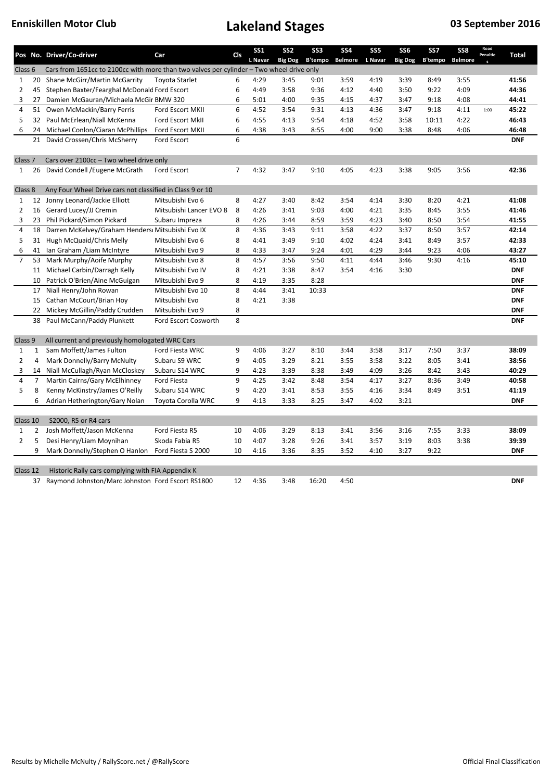|                    |                | Pos No. Driver/Co-driver                                                                 | Car                     | <b>CIs</b>     | <b>SS1</b> | SS <sub>2</sub> | SS <sub>3</sub> | <b>SS4</b>     | SS <sub>5</sub> | SS <sub>6</sub> | SS <sub>7</sub> | SS8            | Penaltie | <b>Total</b> |
|--------------------|----------------|------------------------------------------------------------------------------------------|-------------------------|----------------|------------|-----------------|-----------------|----------------|-----------------|-----------------|-----------------|----------------|----------|--------------|
|                    |                |                                                                                          |                         |                | L Navar    | <b>Big Dog</b>  | B'tempo         | <b>Belmore</b> | L Navar         | <b>Big Dog</b>  | <b>B'tempo</b>  | <b>Belmore</b> |          |              |
| Class <sub>6</sub> |                | Cars from 1651cc to 2100cc with more than two valves per cylinder - Two wheel drive only |                         |                |            |                 |                 |                |                 |                 |                 |                |          |              |
| $\mathbf{1}$       | 20             | Shane McGirr/Martin McGarrity                                                            | <b>Toyota Starlet</b>   | 6              | 4:29       | 3:45            | 9:01            | 3:59           | 4:19            | 3:39            | 8:49            | 3:55           |          | 41:56        |
| 2                  | 45             | Stephen Baxter/Fearghal McDonald Ford Escort                                             |                         | 6              | 4:49       | 3:58            | 9:36            | 4:12           | 4:40            | 3:50            | 9:22            | 4:09           |          | 44:36        |
| 3                  | 27             | Damien McGauran/Michaela McGir BMW 320                                                   |                         | 6              | 5:01       | 4:00            | 9:35            | 4:15           | 4:37            | 3:47            | 9:18            | 4:08           |          | 44:41        |
| 4                  | 51             | Owen McMackin/Barry Ferris                                                               | Ford Escort MKII        | 6              | 4:52       | 3:54            | 9:31            | 4:13           | 4:36            | 3:47            | 9:18            | 4:11           | 1:00     | 45:22        |
| 5                  | 32             | Paul McErlean/Niall McKenna                                                              | <b>Ford Escort MkII</b> | 6              | 4:55       | 4:13            | 9:54            | 4:18           | 4:52            | 3:58            | 10:11           | 4:22           |          | 46:43        |
| 6                  | 24             | Michael Conlon/Ciaran McPhillips                                                         | Ford Escort MKII        | 6              | 4:38       | 3:43            | 8:55            | 4:00           | 9:00            | 3:38            | 8:48            | 4:06           |          | 46:48        |
|                    |                | 21 David Crossen/Chris McSherry                                                          | Ford Escort             | 6              |            |                 |                 |                |                 |                 |                 |                |          | <b>DNF</b>   |
|                    |                |                                                                                          |                         |                |            |                 |                 |                |                 |                 |                 |                |          |              |
| Class <sub>7</sub> |                | Cars over 2100cc - Two wheel drive only                                                  |                         |                |            |                 |                 |                |                 |                 |                 |                |          |              |
| $\mathbf{1}$       | 26             | David Condell / Eugene McGrath                                                           | Ford Escort             | $\overline{7}$ | 4:32       | 3:47            | 9:10            | 4:05           | 4:23            | 3:38            | 9:05            | 3:56           |          | 42:36        |
|                    |                |                                                                                          |                         |                |            |                 |                 |                |                 |                 |                 |                |          |              |
| Class 8            |                | Any Four Wheel Drive cars not classified in Class 9 or 10                                |                         |                |            |                 |                 |                |                 |                 |                 |                |          |              |
| $\mathbf{1}$       | 12             | Jonny Leonard/Jackie Elliott                                                             | Mitsubishi Evo 6        | 8              | 4:27       | 3:40            | 8:42            | 3:54           | 4:14            | 3:30            | 8:20            | 4:21           |          | 41:08        |
| $\overline{2}$     | 16             | Gerard Lucey/JJ Cremin                                                                   | Mitsubishi Lancer EVO 8 | 8              | 4:26       | 3:41            | 9:03            | 4:00           | 4:21            | 3:35            | 8:45            | 3:55           |          | 41:46        |
| 3                  | 23             | Phil Pickard/Simon Pickard                                                               | Subaru Impreza          | 8              | 4:26       | 3:44            | 8:59            | 3:59           | 4:23            | 3:40            | 8:50            | 3:54           |          | 41:55        |
| $\overline{4}$     | 18             | Darren McKelvey/Graham Henders Mitsubishi Evo IX                                         |                         | 8              | 4:36       | 3:43            | 9:11            | 3:58           | 4:22            | 3:37            | 8:50            | 3:57           |          | 42:14        |
| 5                  | 31             | Hugh McQuaid/Chris Melly                                                                 | Mitsubishi Evo 6        | 8              | 4:41       | 3:49            | 9:10            | 4:02           | 4:24            | 3:41            | 8:49            | 3:57           |          | 42:33        |
| 6                  | 41             | Ian Graham / Liam McIntyre                                                               | Mitsubishi Evo 9        | 8              | 4:33       | 3:47            | 9:24            | 4:01           | 4:29            | 3:44            | 9:23            | 4:06           |          | 43:27        |
| $\overline{7}$     | 53             | Mark Murphy/Aoife Murphy                                                                 | Mitsubishi Evo 8        | 8              | 4:57       | 3:56            | 9:50            | 4:11           | 4:44            | 3:46            | 9:30            | 4:16           |          | 45:10        |
|                    | 11             | Michael Carbin/Darragh Kelly                                                             | Mitsubishi Evo IV       | 8              | 4:21       | 3:38            | 8:47            | 3:54           | 4:16            | 3:30            |                 |                |          | <b>DNF</b>   |
|                    | 10             | Patrick O'Brien/Aine McGuigan                                                            | Mitsubishi Evo 9        | 8              | 4:19       | 3:35            | 8:28            |                |                 |                 |                 |                |          | <b>DNF</b>   |
|                    | 17             | Niall Henry/John Rowan                                                                   | Mitsubishi Evo 10       | 8              | 4:44       | 3:41            | 10:33           |                |                 |                 |                 |                |          | <b>DNF</b>   |
|                    | 15             | Cathan McCourt/Brian Hoy                                                                 | Mitsubishi Evo          | 8              | 4:21       | 3:38            |                 |                |                 |                 |                 |                |          | <b>DNF</b>   |
|                    | 22             | Mickey McGillin/Paddy Crudden                                                            | Mitsubishi Evo 9        | 8              |            |                 |                 |                |                 |                 |                 |                |          | <b>DNF</b>   |
|                    | 38             | Paul McCann/Paddy Plunkett                                                               | Ford Escort Cosworth    | 8              |            |                 |                 |                |                 |                 |                 |                |          | <b>DNF</b>   |
|                    |                |                                                                                          |                         |                |            |                 |                 |                |                 |                 |                 |                |          |              |
| Class 9            |                | All current and previously homologated WRC Cars                                          |                         |                |            |                 |                 |                |                 |                 |                 |                |          |              |
| $\mathbf{1}$       | $\mathbf{1}$   | Sam Moffett/James Fulton                                                                 | Ford Fiesta WRC         | 9              | 4:06       | 3:27            | 8:10            | 3:44           | 3:58            | 3:17            | 7:50            | 3:37           |          | 38:09        |
| $\overline{2}$     | 4              | Mark Donnelly/Barry McNulty                                                              | Subaru S9 WRC           | 9              | 4:05       | 3:29            | 8:21            | 3:55           | 3:58            | 3:22            | 8:05            | 3:41           |          | 38:56        |
| 3                  | 14             | Niall McCullagh/Ryan McCloskey                                                           | Subaru S14 WRC          | 9              | 4:23       | 3:39            | 8:38            | 3:49           | 4:09            | 3:26            | 8:42            | 3:43           |          | 40:29        |
| $\overline{4}$     | $\overline{7}$ | Martin Cairns/Gary McElhinney                                                            | Ford Fiesta             | 9              | 4:25       | 3:42            | 8:48            | 3:54           | 4:17            | 3:27            | 8:36            | 3:49           |          | 40:58        |
| 5                  | 8              | Kenny McKinstry/James O'Reilly                                                           | Subaru S14 WRC          | 9              | 4:20       | 3:41            | 8:53            | 3:55           | 4:16            | 3:34            | 8:49            | 3:51           |          | 41:19        |
|                    | 6              | Adrian Hetherington/Gary Nolan                                                           | Toyota Corolla WRC      | 9              | 4:13       | 3:33            | 8:25            | 3:47           | 4:02            | 3:21            |                 |                |          | <b>DNF</b>   |
|                    |                |                                                                                          |                         |                |            |                 |                 |                |                 |                 |                 |                |          |              |
| Class 10           |                | S2000, R5 or R4 cars                                                                     |                         |                |            |                 |                 |                |                 |                 |                 |                |          |              |
| 1                  | $\overline{2}$ | Josh Moffett/Jason McKenna                                                               | Ford Fiesta R5          | 10             | 4:06       | 3:29            | 8:13            | 3:41           | 3:56            | 3:16            | 7:55            | 3:33           |          | 38:09        |
| $\overline{2}$     | 5              | Desi Henry/Liam Moynihan                                                                 | Skoda Fabia R5          | 10             | 4:07       | 3:28            | 9:26            | 3:41           | 3:57            | 3:19            | 8:03            | 3:38           |          | 39:39        |
|                    | 9              | Mark Donnelly/Stephen O Hanlon                                                           | Ford Fiesta S 2000      | 10             | 4:16       | 3:36            | 8:35            | 3:52           | 4:10            | 3:27            | 9:22            |                |          | <b>DNF</b>   |
|                    |                |                                                                                          |                         |                |            |                 |                 |                |                 |                 |                 |                |          |              |
| Class 12           |                | Historic Rally cars complying with FIA Appendix K                                        |                         |                |            |                 |                 |                |                 |                 |                 |                |          |              |
|                    |                | 37 Raymond Johnston/Marc Johnston Ford Escort RS1800                                     |                         | 12             | 4:36       | 3:48            | 16:20           | 4:50           |                 |                 |                 |                |          | <b>DNF</b>   |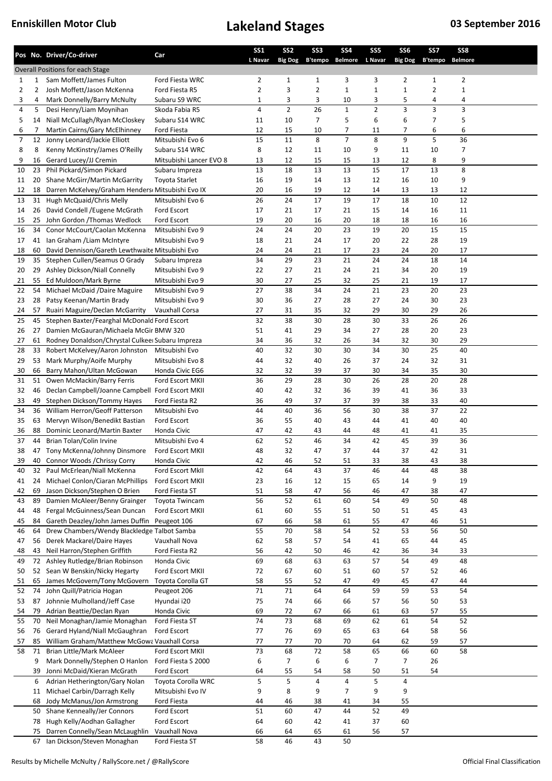|              |              | Pos No. Driver/Co-driver                                                        | Car                                       | <b>SS1</b><br>L Navar | SS <sub>2</sub><br><b>Big Dog</b> | SS <sub>3</sub><br>B'tempo | <b>SS4</b><br><b>Belmore</b> | SS <sub>5</sub><br>L Navar | SS <sub>6</sub><br><b>Big Dog</b> | SS7<br><b>B'tempo</b> | SS8<br><b>Belmore</b> |  |
|--------------|--------------|---------------------------------------------------------------------------------|-------------------------------------------|-----------------------|-----------------------------------|----------------------------|------------------------------|----------------------------|-----------------------------------|-----------------------|-----------------------|--|
|              |              | <b>Overall Positions for each Stage</b>                                         |                                           |                       |                                   |                            |                              |                            |                                   |                       |                       |  |
| $\mathbf{1}$ | $\mathbf{1}$ | Sam Moffett/James Fulton                                                        | Ford Fiesta WRC                           | 2                     | 1                                 | 1                          | 3                            | 3                          | 2                                 | 1                     | $\overline{2}$        |  |
| 2            | 2            | Josh Moffett/Jason McKenna                                                      | Ford Fiesta R5                            | $\overline{2}$        | 3                                 | $\overline{2}$             | $\mathbf 1$                  | $\mathbf 1$                | $1\,$                             | $\overline{2}$        | $\mathbf 1$           |  |
| 3            | 4            | Mark Donnelly/Barry McNulty                                                     | Subaru S9 WRC                             | 1                     | 3                                 | 3                          | 10                           | 3                          | 5                                 | 4                     | 4                     |  |
| 4            | 5            | Desi Henry/Liam Moynihan                                                        | Skoda Fabia R5                            | 4                     | $\overline{2}$                    | 26                         | $\mathbf{1}$                 | $\overline{2}$             | 3                                 | 3                     | 3                     |  |
| 5            | 14           | Niall McCullagh/Ryan McCloskey                                                  | Subaru S14 WRC                            | 11                    | 10                                | $\overline{7}$             | 5                            | 6                          | 6                                 | 7                     | 5                     |  |
| 6            | 7            | Martin Cairns/Gary McElhinney                                                   | Ford Fiesta                               | 12                    | 15                                | 10                         | 7                            | 11                         | 7                                 | 6                     | 6                     |  |
| 7            | 12           | Jonny Leonard/Jackie Elliott                                                    | Mitsubishi Evo 6                          | 15                    | 11                                | 8                          | $\overline{7}$               | 8                          | 9                                 | 5                     | 36                    |  |
| 8<br>9       | 8<br>16      | Kenny McKinstry/James O'Reilly<br>Gerard Lucey/JJ Cremin                        | Subaru S14 WRC<br>Mitsubishi Lancer EVO 8 | 8<br>13               | 12<br>12                          | 11<br>15                   | 10<br>15                     | 9<br>13                    | 11<br>12                          | 10<br>8               | 7<br>9                |  |
| 10           | 23           | Phil Pickard/Simon Pickard                                                      | Subaru Impreza                            | 13                    | 18                                | 13                         | 13                           | 15                         | 17                                | 13                    | 8                     |  |
| 11           | 20           | Shane McGirr/Martin McGarrity                                                   | <b>Toyota Starlet</b>                     | 16                    | 19                                | 14                         | 13                           | 12                         | 16                                | 10                    | 9                     |  |
| 12           | 18           | Darren McKelvey/Graham Henders Mitsubishi Evo IX                                |                                           | 20                    | 16                                | 19                         | 12                           | 14                         | 13                                | 13                    | 12                    |  |
| 13           | 31           | Hugh McQuaid/Chris Melly                                                        | Mitsubishi Evo 6                          | 26                    | 24                                | 17                         | 19                           | 17                         | 18                                | 10                    | 12                    |  |
| 14           | 26           | David Condell / Eugene McGrath                                                  | Ford Escort                               | 17                    | 21                                | 17                         | 21                           | 15                         | 14                                | 16                    | 11                    |  |
| 15           | 25           | John Gordon / Thomas Wedlock                                                    | Ford Escort                               | 19                    | 20                                | 16                         | 20                           | 18                         | 18                                | 16                    | 16                    |  |
| 16           | 34           | Conor McCourt/Caolan McKenna                                                    | Mitsubishi Evo 9                          | 24                    | 24                                | 20                         | 23                           | 19                         | 20                                | 15                    | 15                    |  |
| 17           | 41           | Ian Graham / Liam McIntyre                                                      | Mitsubishi Evo 9                          | 18                    | 21                                | 24                         | 17                           | 20                         | 22                                | 28                    | 19                    |  |
| 18           | 60           | David Dennison/Gareth Lewthwaite Mitsubishi Evo                                 |                                           | 24                    | 24                                | 21                         | 17                           | 23                         | 24                                | 20                    | 17                    |  |
| 19           | 35           | Stephen Cullen/Seamus O Grady                                                   | Subaru Impreza                            | 34                    | 29                                | 23                         | 21                           | 24                         | 24                                | 18                    | 14                    |  |
| 20<br>21     | 29<br>55     | Ashley Dickson/Niall Connelly<br>Ed Muldoon/Mark Byrne                          | Mitsubishi Evo 9<br>Mitsubishi Evo 9      | 22<br>30              | 27<br>27                          | 21<br>25                   | 24<br>32                     | 21<br>25                   | 34<br>21                          | 20<br>19              | 19<br>17              |  |
| 22           | 54           | Michael McDaid / Daire Maguire                                                  | Mitsubishi Evo 9                          | 27                    | 38                                | 34                         | 24                           | 21                         | 23                                | 20                    | 23                    |  |
| 23           | 28           | Patsy Keenan/Martin Brady                                                       | Mitsubishi Evo 9                          | 30                    | 36                                | 27                         | 28                           | 27                         | 24                                | 30                    | 23                    |  |
| 24           | 57           | Ruairi Maguire/Declan McGarrity                                                 | Vauxhall Corsa                            | 27                    | 31                                | 35                         | 32                           | 29                         | 30                                | 29                    | 26                    |  |
| 25           | 45           | Stephen Baxter/Fearghal McDonald Ford Escort                                    |                                           | 32                    | 38                                | 30                         | 28                           | 30                         | 33                                | 26                    | 26                    |  |
| 26           | 27           | Damien McGauran/Michaela McGir BMW 320                                          |                                           | 51                    | 41                                | 29                         | 34                           | 27                         | 28                                | 20                    | 23                    |  |
| 27           | 61           | Rodney Donaldson/Chrystal Culkeeı Subaru Impreza                                |                                           | 34                    | 36                                | 32                         | 26                           | 34                         | 32                                | 30                    | 29                    |  |
| 28           | 33           | Robert McKelvey/Aaron Johnston                                                  | Mitsubishi Evo                            | 40                    | 32                                | 30                         | 30                           | 34                         | 30                                | 25                    | 40                    |  |
| 29           | 53           | Mark Murphy/Aoife Murphy                                                        | Mitsubishi Evo 8                          | 44                    | 32                                | 40                         | 26                           | 37                         | 24                                | 32                    | 31                    |  |
| 30           | 66           | Barry Mahon/Ultan McGowan                                                       | Honda Civic EG6                           | 32                    | 32                                | 39                         | 37                           | 30                         | 34                                | 35                    | 30                    |  |
| 31           | 51           | Owen McMackin/Barry Ferris                                                      | Ford Escort MKII                          | 36                    | 29                                | 28                         | 30                           | 26                         | 28                                | 20                    | 28                    |  |
| 32           | 46<br>49     | Declan Campbell/Joanne Campbell Ford Escort MKII<br>Stephen Dickson/Tommy Hayes | Ford Fiesta R2                            | 40<br>36              | 42<br>49                          | 32<br>37                   | 36<br>37                     | 39<br>39                   | 41<br>38                          | 36<br>33              | 33<br>40              |  |
| 33<br>34     | 36           | William Herron/Geoff Patterson                                                  | Mitsubishi Evo                            | 44                    | 40                                | 36                         | 56                           | 30                         | 38                                | 37                    | 22                    |  |
| 35           | 63           | Mervyn Wilson/Benedikt Bastian                                                  | Ford Escort                               | 36                    | 55                                | 40                         | 43                           | 44                         | 41                                | 40                    | 40                    |  |
| 36           | 88           | Dominic Leonard/Martin Baxter                                                   | Honda Civic                               | 47                    | 42                                | 43                         | 44                           | 48                         | 41                                | 41                    | 35                    |  |
| 37           | 44           | Brian Tolan/Colin Irvine                                                        | Mitsubishi Evo 4                          | 62                    | 52                                | 46                         | 34                           | 42                         | 45                                | 39                    | 36                    |  |
| 38           |              | 47 Tony McKenna/Johnny Dinsmore                                                 | Ford Escort MKII                          | 48                    | 32                                | 47                         | 37                           | 44                         | 37                                | 42                    | 31                    |  |
| 39           | 40           | Connor Woods / Chrissy Corry                                                    | Honda Civic                               | 42                    | 46                                | 52                         | 51                           | 33                         | 38                                | 43                    | 38                    |  |
| 40           | 32           | Paul McErlean/Niall McKenna                                                     | Ford Escort MkII                          | 42                    | 64                                | 43                         | 37                           | 46                         | 44                                | 48                    | 38                    |  |
| 41           | 24           | Michael Conlon/Ciaran McPhillips                                                | Ford Escort MKII                          | 23                    | 16                                | 12                         | 15                           | 65                         | 14                                | 9                     | 19                    |  |
| 42           | 69           | Jason Dickson/Stephen O Brien                                                   | Ford Fiesta ST                            | 51                    | 58                                | 47                         | 56                           | 46                         | 47                                | 38                    | 47                    |  |
| 43           | 89           | Damien McAleer/Benny Grainger                                                   | Toyota Twincam                            | 56                    | 52                                | 61                         | 60                           | 54                         | 49                                | 50                    | 48                    |  |
| 44<br>45     | 48<br>84     | Fergal McGuinness/Sean Duncan<br>Gareth Deazley/John James Duffin               | Ford Escort MKII<br>Peugeot 106           | 61<br>67              | 60<br>66                          | 55<br>58                   | 51<br>61                     | 50<br>55                   | 51<br>47                          | 45<br>46              | 43<br>51              |  |
| 46           | 64           | Drew Chambers/Wendy Blackledge Talbot Samba                                     |                                           | 55                    | 70                                | 58                         | 54                           | 52                         | 53                                | 56                    | 50                    |  |
| 47           | 56           | Derek Mackarel/Daire Hayes                                                      | Vauxhall Nova                             | 62                    | 58                                | 57                         | 54                           | 41                         | 65                                | 44                    | 45                    |  |
| 48           | 43           | Neil Harron/Stephen Griffith                                                    | Ford Fiesta R2                            | 56                    | 42                                | 50                         | 46                           | 42                         | 36                                | 34                    | 33                    |  |
| 49           | 72           | Ashley Rutledge/Brian Robinson                                                  | Honda Civic                               | 69                    | 68                                | 63                         | 63                           | 57                         | 54                                | 49                    | 48                    |  |
| 50           | 52           | Sean W Benskin/Nicky Hegarty                                                    | Ford Escort MKII                          | 72                    | 67                                | 60                         | 51                           | 60                         | 57                                | 52                    | 46                    |  |
| 51           | 65           | James McGovern/Tony McGovern                                                    | Toyota Corolla GT                         | 58                    | 55                                | 52                         | 47                           | 49                         | 45                                | 47                    | 44                    |  |
| 52           | 74           | John Quill/Patricia Hogan                                                       | Peugeot 206                               | 71                    | 71                                | 64                         | 64                           | 59                         | 59                                | 53                    | 54                    |  |
| 53           | 87           | Johnnie Mulholland/Jeff Case                                                    | Hyundai i20                               | 75                    | 74                                | 66                         | 66                           | 57                         | 56                                | 50                    | 53                    |  |
| 54           | 79           | Adrian Beattie/Declan Ryan                                                      | Honda Civic                               | 69                    | 72                                | 67                         | 66                           | 61                         | 63                                | 57                    | 55                    |  |
| 55           | 70           | Neil Monaghan/Jamie Monaghan                                                    | Ford Fiesta ST<br>Ford Escort             | 74<br>77              | 73<br>76                          | 68                         | 69                           | 62                         | 61                                | 54                    | 52                    |  |
| 56           | 76<br>85     | Gerard Hyland/Niall McGaughran<br>William Graham/Matthew McGowa Vauxhall Corsa  |                                           | 77                    | 77                                | 69<br>70                   | 65<br>70                     | 63<br>64                   | 64<br>62                          | 58<br>59              | 56<br>57              |  |
| 57<br>58     | 71           | Brian Little/Mark McAleer                                                       | Ford Escort MKII                          | 73                    | 68                                | 72                         | 58                           | 65                         | 66                                | 60                    | 58                    |  |
|              | 9            | Mark Donnelly/Stephen O Hanlon                                                  | Ford Fiesta S 2000                        | 6                     | $\overline{7}$                    | 6                          | 6                            | 7                          | 7                                 | 26                    |                       |  |
|              | 39           | Jonni McDaid/Kieran McGrath                                                     | Ford Escort                               | 64                    | 55                                | 54                         | 58                           | 50                         | 51                                | 54                    |                       |  |
|              | 6            | Adrian Hetherington/Gary Nolan                                                  | Toyota Corolla WRC                        | 5                     | 5                                 | 4                          | 4                            | $\sf 5$                    | 4                                 |                       |                       |  |
|              | 11           | Michael Carbin/Darragh Kelly                                                    | Mitsubishi Evo IV                         | 9                     | 8                                 | 9                          | $\overline{7}$               | 9                          | 9                                 |                       |                       |  |
|              | 68           | Jody McManus/Jon Armstrong                                                      | Ford Fiesta                               | 44                    | 46                                | 38                         | 41                           | 34                         | 55                                |                       |                       |  |
|              | 50           | Shane Kenneally/Jer Connors                                                     | Ford Escort                               | 51                    | 60                                | 47                         | 44                           | 52                         | 49                                |                       |                       |  |
|              | 78           | Hugh Kelly/Aodhan Gallagher                                                     | Ford Escort                               | 64                    | 60                                | 42                         | 41                           | 37                         | 60                                |                       |                       |  |
|              | 75           | Darren Connelly/Sean McLaughlin                                                 | Vauxhall Nova                             | 66                    | 64                                | 65                         | 61                           | 56                         | 57                                |                       |                       |  |
|              | 67           | Ian Dickson/Steven Monaghan                                                     | Ford Fiesta ST                            | 58                    | 46                                | 43                         | 50                           |                            |                                   |                       |                       |  |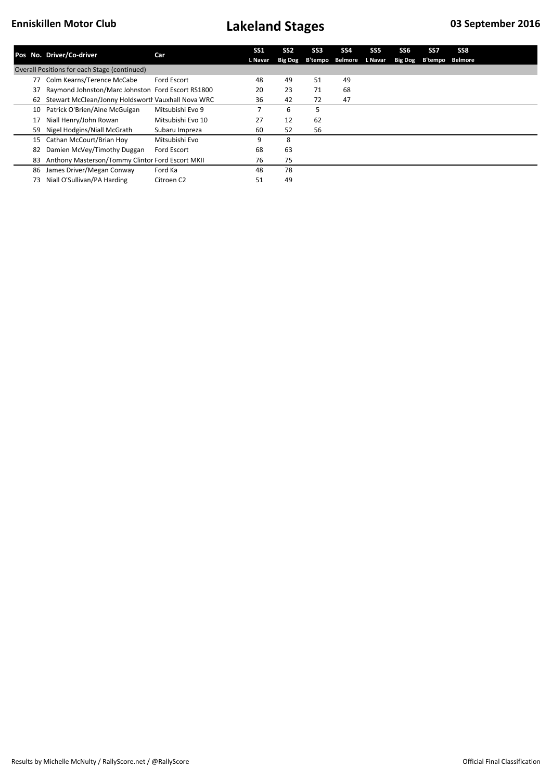|    | Pos No. Driver/Co-driver                              | Car                    | <b>SS1</b><br>L Navar | SS <sub>2</sub><br><b>Big Dog</b> | SS <sub>3</sub><br>B'tempo | SS <sub>4</sub><br><b>Belmore</b> | SS <sub>5</sub><br>L Navar | SS <sub>6</sub><br><b>Big Dog</b> | SS7<br>B'tempo | SS8<br><b>Belmore</b> |  |
|----|-------------------------------------------------------|------------------------|-----------------------|-----------------------------------|----------------------------|-----------------------------------|----------------------------|-----------------------------------|----------------|-----------------------|--|
|    | Overall Positions for each Stage (continued)          |                        |                       |                                   |                            |                                   |                            |                                   |                |                       |  |
| 77 | Colm Kearns/Terence McCabe                            | <b>Ford Escort</b>     | 48                    | 49                                | 51                         | 49                                |                            |                                   |                |                       |  |
| 37 | Raymond Johnston/Marc Johnston Ford Escort RS1800     |                        | 20                    | 23                                | 71                         | 68                                |                            |                                   |                |                       |  |
|    | 62 Stewart McClean/Jonny Holdsworth Vauxhall Nova WRC |                        | 36                    | 42                                | 72                         | 47                                |                            |                                   |                |                       |  |
| 10 | Patrick O'Brien/Aine McGuigan                         | Mitsubishi Evo 9       |                       | 6                                 |                            |                                   |                            |                                   |                |                       |  |
|    | Niall Henry/John Rowan                                | Mitsubishi Evo 10      | 27                    | 12                                | 62                         |                                   |                            |                                   |                |                       |  |
| 59 | Nigel Hodgins/Niall McGrath                           | Subaru Impreza         | 60                    | 52                                | 56                         |                                   |                            |                                   |                |                       |  |
| 15 | Cathan McCourt/Brian Hoy                              | Mitsubishi Evo         | 9                     | 8                                 |                            |                                   |                            |                                   |                |                       |  |
| 82 | Damien McVey/Timothy Duggan                           | <b>Ford Escort</b>     | 68                    | 63                                |                            |                                   |                            |                                   |                |                       |  |
| 83 | Anthony Masterson/Tommy Clintor Ford Escort MKII      |                        | 76                    | 75                                |                            |                                   |                            |                                   |                |                       |  |
| 86 | James Driver/Megan Conway                             | Ford Ka                | 48                    | 78                                |                            |                                   |                            |                                   |                |                       |  |
| 73 | Niall O'Sullivan/PA Harding                           | Citroen C <sub>2</sub> | 51                    | 49                                |                            |                                   |                            |                                   |                |                       |  |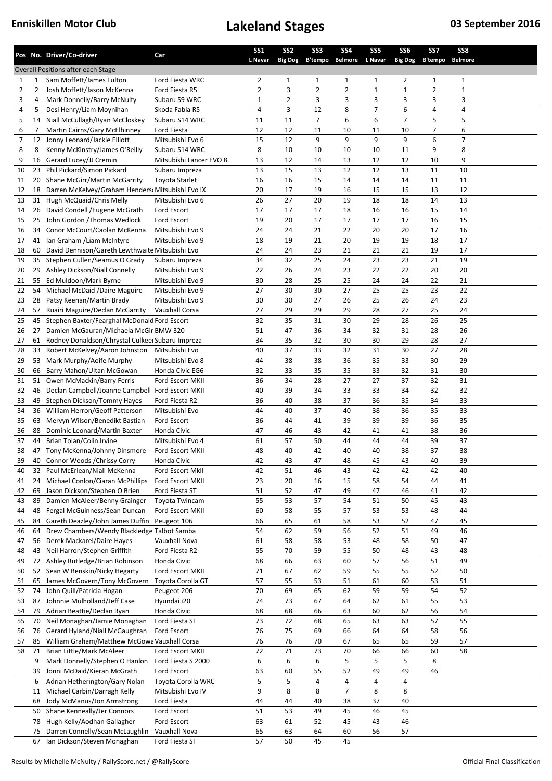|              |                | Pos No. Driver/Co-driver                                                        | Car                                       | <b>SS1</b><br>L Navar | SS <sub>2</sub><br><b>Big Dog</b> | SS <sub>3</sub><br>B'tempo | <b>SS4</b><br><b>Belmore</b> | SS <sub>5</sub><br>L Navar | SS <sub>6</sub><br><b>Big Dog</b> | SS7<br><b>B'tempo</b> | SS8<br><b>Belmore</b>   |  |
|--------------|----------------|---------------------------------------------------------------------------------|-------------------------------------------|-----------------------|-----------------------------------|----------------------------|------------------------------|----------------------------|-----------------------------------|-----------------------|-------------------------|--|
|              |                | Overall Positions after each Stage                                              |                                           |                       |                                   |                            |                              |                            |                                   |                       |                         |  |
| $\mathbf{1}$ | $\mathbf{1}$   | Sam Moffett/James Fulton                                                        | Ford Fiesta WRC                           | 2                     | 1                                 | 1                          | 1                            | 1                          | 2                                 | 1                     | $\mathbf{1}$            |  |
| 2            | $\overline{2}$ | Josh Moffett/Jason McKenna                                                      | Ford Fiesta R5                            | $\overline{2}$        | 3                                 | $\overline{2}$             | $\overline{2}$               | $\mathbf 1$                | $1\,$                             | $\overline{2}$        | $\mathbf 1$             |  |
| 3            | 4              | Mark Donnelly/Barry McNulty                                                     | Subaru S9 WRC                             | 1                     | 2                                 | 3                          | 3                            | 3                          | 3                                 | 3                     | 3                       |  |
| 4            | 5              | Desi Henry/Liam Moynihan                                                        | Skoda Fabia R5                            | 4                     | 3                                 | 12                         | 8                            | $\overline{7}$             | 6                                 | 4                     | $\overline{\mathbf{4}}$ |  |
| 5            | 14             | Niall McCullagh/Ryan McCloskey                                                  | Subaru S14 WRC                            | 11                    | 11                                | $\overline{7}$             | 6                            | 6                          | $\overline{7}$                    | 5                     | 5                       |  |
| 6            | 7              | Martin Cairns/Gary McElhinney                                                   | Ford Fiesta                               | 12                    | 12                                | 11                         | 10                           | 11                         | 10                                | 7                     | 6                       |  |
| 7            | 12             | Jonny Leonard/Jackie Elliott                                                    | Mitsubishi Evo 6                          | 15                    | 12                                | 9                          | 9                            | 9                          | 9                                 | 6                     | $\overline{7}$          |  |
| 8<br>9       | 8<br>16        | Kenny McKinstry/James O'Reilly<br>Gerard Lucey/JJ Cremin                        | Subaru S14 WRC<br>Mitsubishi Lancer EVO 8 | 8<br>13               | 10<br>12                          | 10<br>14                   | 10<br>13                     | 10<br>12                   | 11<br>12                          | 9<br>10               | 8<br>9                  |  |
| 10           | 23             | Phil Pickard/Simon Pickard                                                      | Subaru Impreza                            | 13                    | 15                                | 13                         | 12                           | 12                         | 13                                | 11                    | 10                      |  |
| 11           | 20             | Shane McGirr/Martin McGarrity                                                   | <b>Toyota Starlet</b>                     | 16                    | 16                                | 15                         | 14                           | 14                         | 14                                | 11                    | 11                      |  |
| 12           | 18             | Darren McKelvey/Graham Henders Mitsubishi Evo IX                                |                                           | 20                    | 17                                | 19                         | 16                           | 15                         | 15                                | 13                    | 12                      |  |
| 13           | 31             | Hugh McQuaid/Chris Melly                                                        | Mitsubishi Evo 6                          | 26                    | 27                                | 20                         | 19                           | 18                         | 18                                | 14                    | 13                      |  |
| 14           | 26             | David Condell / Eugene McGrath                                                  | Ford Escort                               | 17                    | 17                                | 17                         | 18                           | 16                         | 16                                | 15                    | 14                      |  |
| 15           | 25             | John Gordon / Thomas Wedlock                                                    | Ford Escort                               | 19                    | 20                                | 17                         | 17                           | 17                         | 17                                | 16                    | 15                      |  |
| 16           | 34             | Conor McCourt/Caolan McKenna                                                    | Mitsubishi Evo 9                          | 24                    | 24                                | 21                         | 22                           | 20                         | 20                                | 17                    | 16                      |  |
| 17           | 41             | Ian Graham / Liam McIntyre                                                      | Mitsubishi Evo 9                          | 18                    | 19                                | 21                         | 20                           | 19                         | 19                                | 18                    | 17                      |  |
| 18           | 60             | David Dennison/Gareth Lewthwaite Mitsubishi Evo                                 |                                           | 24                    | 24                                | 23                         | 21                           | 21                         | 21                                | 19                    | 17                      |  |
| 19           | 35             | Stephen Cullen/Seamus O Grady                                                   | Subaru Impreza                            | 34                    | 32                                | 25                         | 24                           | 23                         | 23                                | 21                    | 19                      |  |
| 20<br>21     | 29<br>55       | Ashley Dickson/Niall Connelly<br>Ed Muldoon/Mark Byrne                          | Mitsubishi Evo 9<br>Mitsubishi Evo 9      | 22<br>30              | 26<br>28                          | 24<br>25                   | 23<br>25                     | 22<br>24                   | 22<br>24                          | 20<br>22              | 20<br>21                |  |
| 22           | 54             | Michael McDaid / Daire Maguire                                                  | Mitsubishi Evo 9                          | 27                    | 30                                | 30                         | 27                           | 25                         | 25                                | 23                    | 22                      |  |
| 23           | 28             | Patsy Keenan/Martin Brady                                                       | Mitsubishi Evo 9                          | 30                    | 30                                | 27                         | 26                           | 25                         | 26                                | 24                    | 23                      |  |
| 24           | 57             | Ruairi Maguire/Declan McGarrity                                                 | Vauxhall Corsa                            | 27                    | 29                                | 29                         | 29                           | 28                         | 27                                | 25                    | 24                      |  |
| 25           | 45             | Stephen Baxter/Fearghal McDonald Ford Escort                                    |                                           | 32                    | 35                                | 31                         | 30                           | 29                         | 28                                | 26                    | 25                      |  |
| 26           | 27             | Damien McGauran/Michaela McGir BMW 320                                          |                                           | 51                    | 47                                | 36                         | 34                           | 32                         | 31                                | 28                    | 26                      |  |
| 27           | 61             | Rodney Donaldson/Chrystal Culkeeı Subaru Impreza                                |                                           | 34                    | 35                                | 32                         | 30                           | 30                         | 29                                | 28                    | 27                      |  |
| 28           | 33             | Robert McKelvey/Aaron Johnston                                                  | Mitsubishi Evo                            | 40                    | 37                                | 33                         | 32                           | 31                         | 30                                | 27                    | 28                      |  |
| 29           | 53             | Mark Murphy/Aoife Murphy                                                        | Mitsubishi Evo 8                          | 44                    | 38                                | 38                         | 36                           | 35                         | 33                                | 30                    | 29                      |  |
| 30           | 66             | Barry Mahon/Ultan McGowan                                                       | Honda Civic EG6                           | 32                    | 33                                | 35                         | 35                           | 33                         | 32                                | 31                    | 30                      |  |
| 31           | 51             | Owen McMackin/Barry Ferris                                                      | Ford Escort MKII                          | 36                    | 34                                | 28                         | 27                           | 27                         | 37                                | 32                    | 31                      |  |
| 32           | 46<br>49       | Declan Campbell/Joanne Campbell Ford Escort MKII<br>Stephen Dickson/Tommy Hayes |                                           | 40<br>36              | 39                                | 34<br>38                   | 33<br>37                     | 33<br>36                   | 34<br>35                          | 32<br>34              | 32<br>33                |  |
| 33<br>34     | 36             | William Herron/Geoff Patterson                                                  | Ford Fiesta R2<br>Mitsubishi Evo          | 44                    | 40<br>40                          | 37                         | 40                           | 38                         | 36                                | 35                    | 33                      |  |
| 35           | 63             | Mervyn Wilson/Benedikt Bastian                                                  | Ford Escort                               | 36                    | 44                                | 41                         | 39                           | 39                         | 39                                | 36                    | 35                      |  |
| 36           | 88             | Dominic Leonard/Martin Baxter                                                   | Honda Civic                               | 47                    | 46                                | 43                         | 42                           | 41                         | 41                                | 38                    | 36                      |  |
| 37           | 44             | Brian Tolan/Colin Irvine                                                        | Mitsubishi Evo 4                          | 61                    | 57                                | 50                         | 44                           | 44                         | 44                                | 39                    | 37                      |  |
| 38           |                | 47 Tony McKenna/Johnny Dinsmore                                                 | Ford Escort MKII                          | 48                    | 40                                | 42                         | 40                           | 40                         | 38                                | 37                    | 38                      |  |
| 39           | 40             | Connor Woods / Chrissy Corry                                                    | Honda Civic                               | 42                    | 43                                | 47                         | 48                           | 45                         | 43                                | 40                    | 39                      |  |
| 40           | 32             | Paul McErlean/Niall McKenna                                                     | Ford Escort MkII                          | 42                    | 51                                | 46                         | 43                           | 42                         | 42                                | 42                    | 40                      |  |
| 41           | 24             | Michael Conlon/Ciaran McPhillips                                                | Ford Escort MKII                          | 23                    | 20                                | 16                         | 15                           | 58                         | 54                                | 44                    | 41                      |  |
| 42           | 69             | Jason Dickson/Stephen O Brien                                                   | Ford Fiesta ST                            | 51                    | 52                                | 47                         | 49                           | 47                         | 46                                | 41                    | 42                      |  |
| 43           | 89             | Damien McAleer/Benny Grainger                                                   | Toyota Twincam                            | 55                    | 53                                | 57                         | 54                           | 51                         | 50                                | 45                    | 43                      |  |
| 44<br>45     | 48<br>84       | Fergal McGuinness/Sean Duncan<br>Gareth Deazley/John James Duffin               | Ford Escort MKII<br>Peugeot 106           | 60<br>66              | 58<br>65                          | 55<br>61                   | 57<br>58                     | 53<br>53                   | 53<br>52                          | 48<br>47              | 44<br>45                |  |
| 46           | 64             | Drew Chambers/Wendy Blackledge Talbot Samba                                     |                                           | 54                    | 62                                | 59                         | 56                           | 52                         | 51                                | 49                    | 46                      |  |
| 47           | 56             | Derek Mackarel/Daire Hayes                                                      | Vauxhall Nova                             | 61                    | 58                                | 58                         | 53                           | 48                         | 58                                | 50                    | 47                      |  |
| 48           | 43             | Neil Harron/Stephen Griffith                                                    | Ford Fiesta R2                            | 55                    | 70                                | 59                         | 55                           | 50                         | 48                                | 43                    | 48                      |  |
| 49           | 72             | Ashley Rutledge/Brian Robinson                                                  | Honda Civic                               | 68                    | 66                                | 63                         | 60                           | 57                         | 56                                | 51                    | 49                      |  |
| 50           | 52             | Sean W Benskin/Nicky Hegarty                                                    | Ford Escort MKII                          | 71                    | 67                                | 62                         | 59                           | 55                         | 55                                | 52                    | 50                      |  |
| 51           | 65             | James McGovern/Tony McGovern                                                    | Toyota Corolla GT                         | 57                    | 55                                | 53                         | 51                           | 61                         | 60                                | 53                    | 51                      |  |
| 52           | 74             | John Quill/Patricia Hogan                                                       | Peugeot 206                               | 70                    | 69                                | 65                         | 62                           | 59                         | 59                                | 54                    | 52                      |  |
| 53           | 87             | Johnnie Mulholland/Jeff Case                                                    | Hyundai i20                               | 74                    | 73                                | 67                         | 64                           | 62                         | 61                                | 55                    | 53                      |  |
| 54           | 79             | Adrian Beattie/Declan Ryan                                                      | Honda Civic                               | 68                    | 68                                | 66                         | 63                           | 60                         | 62                                | 56                    | 54                      |  |
| 55           | 70             | Neil Monaghan/Jamie Monaghan                                                    | Ford Fiesta ST                            | 73                    | 72                                | 68                         | 65                           | 63                         | 63                                | 57                    | 55                      |  |
| 56<br>57     | 76<br>85       | Gerard Hyland/Niall McGaughran<br>William Graham/Matthew McGowa Vauxhall Corsa  | Ford Escort                               | 76<br>76              | 75<br>76                          | 69<br>70                   | 66<br>67                     | 64<br>65                   | 64<br>65                          | 58<br>59              | 56<br>57                |  |
| 58           | 71             | Brian Little/Mark McAleer                                                       | Ford Escort MKII                          | 72                    | 71                                | 73                         | 70                           | 66                         | 66                                | 60                    | 58                      |  |
|              | 9              | Mark Donnelly/Stephen O Hanlon                                                  | Ford Fiesta S 2000                        | 6                     | 6                                 | 6                          | 5                            | 5                          | 5                                 | 8                     |                         |  |
|              | 39             | Jonni McDaid/Kieran McGrath                                                     | Ford Escort                               | 63                    | 60                                | 55                         | 52                           | 49                         | 49                                | 46                    |                         |  |
|              | 6              | Adrian Hetherington/Gary Nolan                                                  | Toyota Corolla WRC                        | 5                     | 5                                 | 4                          | 4                            | $\pmb{4}$                  | 4                                 |                       |                         |  |
|              | 11             | Michael Carbin/Darragh Kelly                                                    | Mitsubishi Evo IV                         | 9                     | 8                                 | 8                          | $\overline{7}$               | 8                          | 8                                 |                       |                         |  |
|              | 68             | Jody McManus/Jon Armstrong                                                      | Ford Fiesta                               | 44                    | 44                                | 40                         | 38                           | 37                         | 40                                |                       |                         |  |
|              | 50             | Shane Kenneally/Jer Connors                                                     | Ford Escort                               | 51                    | 53                                | 49                         | 45                           | 46                         | 45                                |                       |                         |  |
|              | 78             | Hugh Kelly/Aodhan Gallagher                                                     | Ford Escort                               | 63                    | 61                                | 52                         | 45                           | 43                         | 46                                |                       |                         |  |
|              | 75             | Darren Connelly/Sean McLaughlin                                                 | Vauxhall Nova                             | 65                    | 63                                | 64                         | 60                           | 56                         | 57                                |                       |                         |  |
|              | 67             | Ian Dickson/Steven Monaghan                                                     | Ford Fiesta ST                            | 57                    | 50                                | 45                         | 45                           |                            |                                   |                       |                         |  |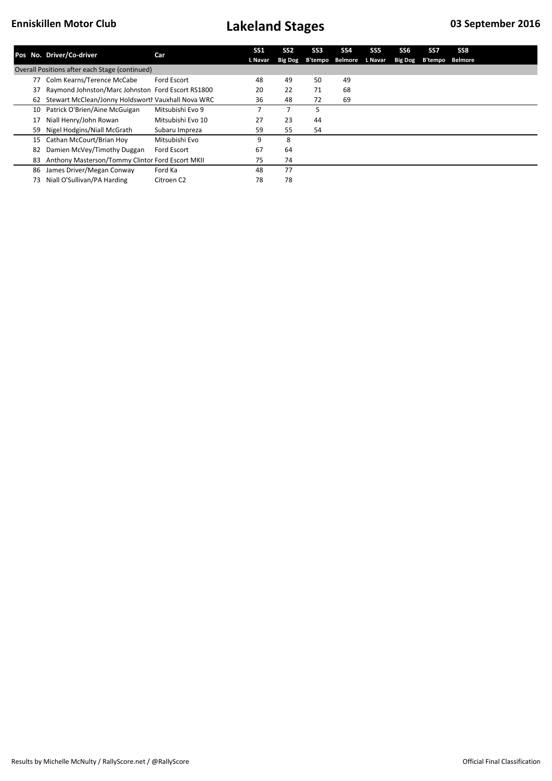|    | Pos No. Driver/Co-driver                              | Car                    | <b>SS1</b> | SS <sub>2</sub> | SS <sub>3</sub> | SS <sub>4</sub> | SS <sub>5</sub> | SS <sub>6</sub> | SS7     | SS8     |
|----|-------------------------------------------------------|------------------------|------------|-----------------|-----------------|-----------------|-----------------|-----------------|---------|---------|
|    |                                                       |                        | L Navar    | <b>Big Dog</b>  | B'tempo         | <b>Belmore</b>  | L Navar         | <b>Big Dog</b>  | B'tempo | Belmore |
|    | Overall Positions after each Stage (continued)        |                        |            |                 |                 |                 |                 |                 |         |         |
| 77 | Colm Kearns/Terence McCabe                            | Ford Escort            | 48         | 49              | 50              | 49              |                 |                 |         |         |
| 37 | Raymond Johnston/Marc Johnston Ford Escort RS1800     |                        | 20         | 22              | 71              | 68              |                 |                 |         |         |
|    | 62 Stewart McClean/Jonny Holdsworth Vauxhall Nova WRC |                        | 36         | 48              | 72              | 69              |                 |                 |         |         |
| 10 | Patrick O'Brien/Aine McGuigan                         | Mitsubishi Evo 9       |            |                 |                 |                 |                 |                 |         |         |
|    | Niall Henry/John Rowan                                | Mitsubishi Evo 10      | 27         | 23              | 44              |                 |                 |                 |         |         |
| 59 | Nigel Hodgins/Niall McGrath                           | Subaru Impreza         | 59         | 55              | 54              |                 |                 |                 |         |         |
| 15 | Cathan McCourt/Brian Hoy                              | Mitsubishi Evo         | ٩          | 8               |                 |                 |                 |                 |         |         |
| 82 | Damien McVey/Timothy Duggan                           | <b>Ford Escort</b>     | 67         | 64              |                 |                 |                 |                 |         |         |
| 83 | Anthony Masterson/Tommy Clintor Ford Escort MKII      |                        | 75         | 74              |                 |                 |                 |                 |         |         |
| 86 | James Driver/Megan Conway                             | Ford Ka                | 48         | 77              |                 |                 |                 |                 |         |         |
| 73 | Niall O'Sullivan/PA Harding                           | Citroen C <sub>2</sub> | 78         | 78              |                 |                 |                 |                 |         |         |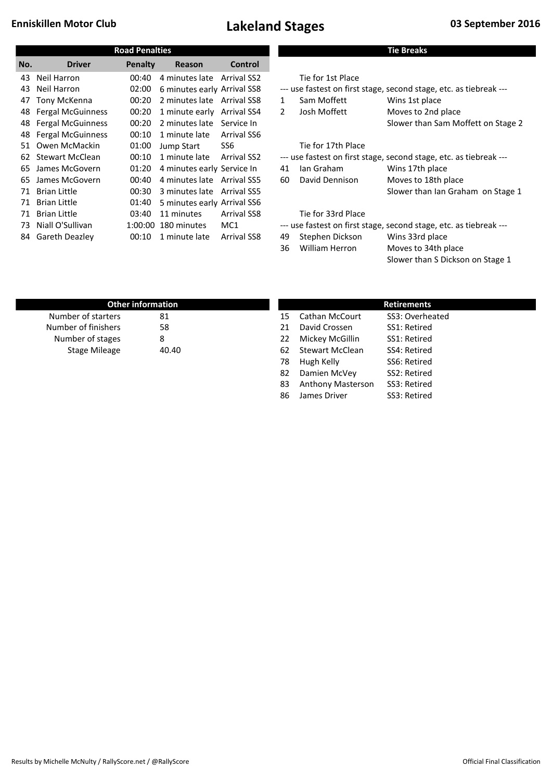### **Enniskillen Motor Club Lakeland Stages 03 September 2016**

 $\blacksquare$ 

|     |                          | <b>Road Penalties</b> |                             |                    |    |                    | <b>Tie Breaks</b>   |                                                                    |             |                                    |
|-----|--------------------------|-----------------------|-----------------------------|--------------------|----|--------------------|---------------------|--------------------------------------------------------------------|-------------|------------------------------------|
| No. | <b>Driver</b>            | <b>Penalty</b>        | Reason                      | Control            |    |                    |                     |                                                                    |             |                                    |
| 43  | Neil Harron              | 00:40                 | 4 minutes late              | <b>Arrival SS2</b> |    | Tie for 1st Place  |                     |                                                                    |             |                                    |
| 43  | <b>Neil Harron</b>       | 02:00                 | 6 minutes early Arrival SS8 |                    |    |                    |                     | --- use fastest on first stage, second stage, etc. as tiebreak --- |             |                                    |
| 47  | Tony McKenna             | 00:20                 | 2 minutes late Arrival SS8  |                    | 1  | Sam Moffett        | Wins 1st place      |                                                                    |             |                                    |
| 48  | <b>Fergal McGuinness</b> | 00:20                 | 1 minute early              | Arrival SS4        | 2  | Josh Moffett       | Moves to 2nd place  |                                                                    |             |                                    |
| 48  | <b>Fergal McGuinness</b> | 00:20                 | 2 minutes late              | Service In         |    |                    |                     |                                                                    |             | Slower than Sam Moffett on Stage 2 |
| 48  | <b>Fergal McGuinness</b> | 00:10                 | 1 minute late               | <b>Arrival SS6</b> |    |                    |                     |                                                                    |             |                                    |
| 51  | Owen McMackin            | 01:00                 | Jump Start                  | SS <sub>6</sub>    |    | Tie for 17th Place |                     |                                                                    |             |                                    |
| 62  | <b>Stewart McClean</b>   | 00:10                 | 1 minute late               | <b>Arrival SS2</b> |    |                    |                     | --- use fastest on first stage, second stage, etc. as tiebreak --- |             |                                    |
| 65  | James McGovern           | 01:20                 | 4 minutes early Service In  |                    | 41 | Ian Graham         | Wins 17th place     |                                                                    |             |                                    |
| 65  | James McGovern           | 00:40                 | 4 minutes late              | Arrival SS5        | 60 | David Dennison     | Moves to 18th place |                                                                    |             |                                    |
| 71  | <b>Brian Little</b>      | 00:30                 | 3 minutes late              | Arrival SS5        |    |                    |                     |                                                                    |             | Slower than Ian Graham on Stage 1  |
| 71  | <b>Brian Little</b>      | 01:40                 | 5 minutes early Arrival SS6 |                    |    |                    |                     |                                                                    |             |                                    |
| 71  | <b>Brian Little</b>      | 03:40                 | 11 minutes                  | <b>Arrival SS8</b> |    | Tie for 33rd Place |                     |                                                                    |             |                                    |
| 73. | Niall O'Sullivan         | 1:00:00               | 180 minutes                 | MC <sub>1</sub>    |    |                    |                     | --- use fastest on first stage, second stage, etc. as tiebreak --- |             |                                    |
| 84  | Gareth Deazley           | 00:10                 | 1 minute late               | <b>Arrival SS8</b> | 49 | Stephen Dickson    | Wins 33rd place     |                                                                    |             |                                    |
|     |                          |                       |                             |                    | 36 | William Herron     | Moves to 34th place |                                                                    |             |                                    |
|     |                          |                       |                             |                    |    |                    |                     |                                                                    |             | Slower than S Dickson on Stage 1   |
|     |                          |                       |                             |                    |    |                    |                     |                                                                    |             |                                    |
|     |                          |                       |                             |                    |    |                    |                     |                                                                    |             |                                    |
|     |                          |                       |                             |                    |    |                    |                     |                                                                    |             |                                    |
|     |                          | Other information     |                             |                    |    |                    |                     |                                                                    | Retirements |                                    |

| <b>Other information</b> |       |     | <b>Retirements</b>       |                 |  |  |  |  |
|--------------------------|-------|-----|--------------------------|-----------------|--|--|--|--|
| Number of starters       | 81    | 15  | <b>Cathan McCourt</b>    | SS3: Overheated |  |  |  |  |
| Number of finishers      | 58    | 21  | David Crossen            | SS1: Retired    |  |  |  |  |
| Number of stages         | 8     | 22  | Mickey McGillin          | SS1: Retired    |  |  |  |  |
| Stage Mileage            | 40.40 | 62  | <b>Stewart McClean</b>   | SS4: Retired    |  |  |  |  |
|                          |       | 78. | Hugh Kelly               | SS6: Retired    |  |  |  |  |
|                          |       | 82  | Damien McVey             | SS2: Retired    |  |  |  |  |
|                          |       | 83  | <b>Anthony Masterson</b> | SS3: Retired    |  |  |  |  |

86 James Driver SS3: Retired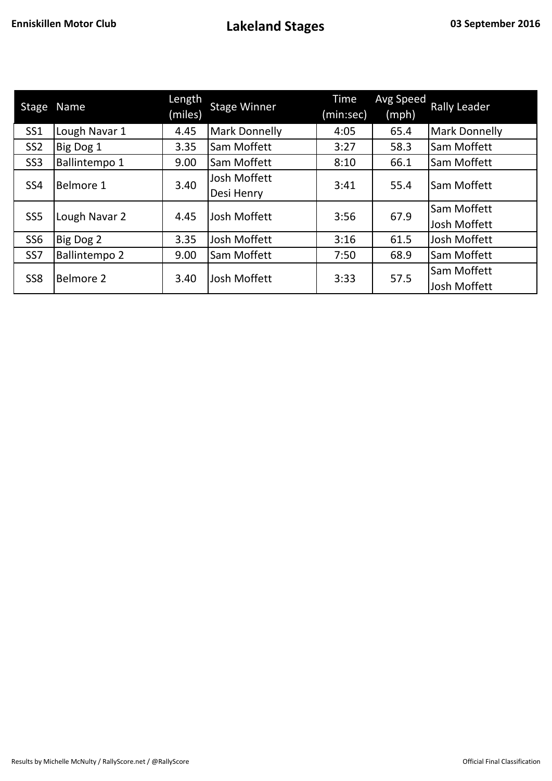|                 | Stage Name           | Length<br>(miles) | <b>Stage Winner</b>        | Time<br>(min:sec) | Avg Speed<br>(mph) | <b>Rally Leader</b>                       |
|-----------------|----------------------|-------------------|----------------------------|-------------------|--------------------|-------------------------------------------|
| SS1             | Lough Navar 1        | 4.45              | <b>Mark Donnelly</b>       | 4:05              | 65.4               | <b>Mark Donnelly</b>                      |
| SS <sub>2</sub> | Big Dog 1            | 3.35              | Sam Moffett                | 3:27              | 58.3               | Sam Moffett                               |
| SS <sub>3</sub> | Ballintempo 1        | 9.00              | Sam Moffett                | 8:10              | 66.1               | Sam Moffett                               |
| SS <sub>4</sub> | Belmore 1            | 3.40              | Josh Moffett<br>Desi Henry | 3:41              | 55.4               | <b>Sam Moffett</b>                        |
| SS <sub>5</sub> | Lough Navar 2        | 4.45              | Josh Moffett               | 3:56              | 67.9               | Sam Moffett<br><b>Josh Moffett</b>        |
| SS <sub>6</sub> | Big Dog 2            | 3.35              | Josh Moffett               | 3:16              | 61.5               | Josh Moffett                              |
| SS <sub>7</sub> | <b>Ballintempo 2</b> | 9.00              | Sam Moffett                | 7:50              | 68.9               | Sam Moffett                               |
| SS <sub>8</sub> | <b>Belmore 2</b>     | 3.40              | Josh Moffett               | 3:33              | 57.5               | <b>Sam Moffett</b><br><b>Josh Moffett</b> |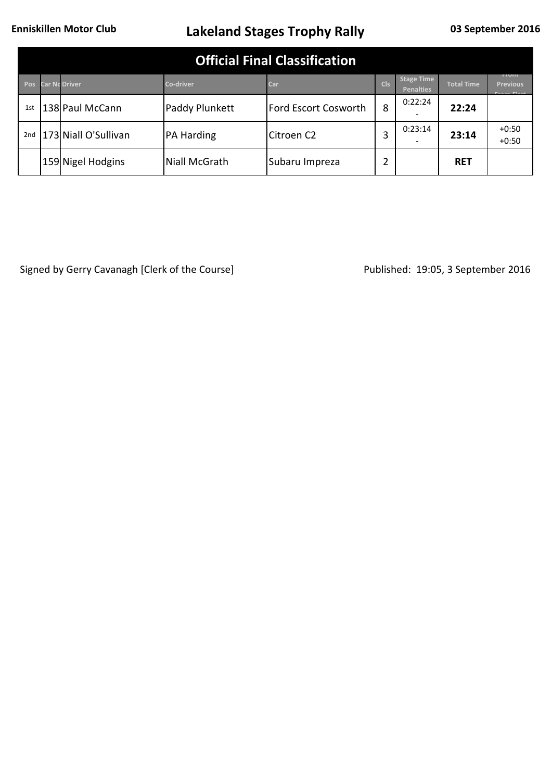### **Enniskillen Motor Club 03 September 2016 Lakeland Stages Trophy Rally**

| <b>Official Final Classification</b> |  |                      |                  |                      |                 |                                       |                   |                                                |
|--------------------------------------|--|----------------------|------------------|----------------------|-----------------|---------------------------------------|-------------------|------------------------------------------------|
| Pos                                  |  | <b>Car No Driver</b> | <b>Co-driver</b> | Car                  | C <sub>1s</sub> | <b>Stage Time</b><br><b>Penalties</b> | <b>Total Time</b> | нон<br><b>Previous</b><br><b>Paradox</b> Plant |
| 1st                                  |  | 138 Paul McCann      | Paddy Plunkett   | Ford Escort Cosworth | 8               | 0:22:24                               | 22:24             |                                                |
| 2nd                                  |  | 173 Niall O'Sullivan | PA Harding       | Citroen C2           | 3               | 0:23:14                               | 23:14             | $+0:50$<br>$+0:50$                             |
|                                      |  | 159 Nigel Hodgins    | Niall McGrath    | Subaru Impreza       |                 |                                       | <b>RET</b>        |                                                |

Signed by Gerry Cavanagh [Clerk of the Course] Published: 19:05, 3 September 2016